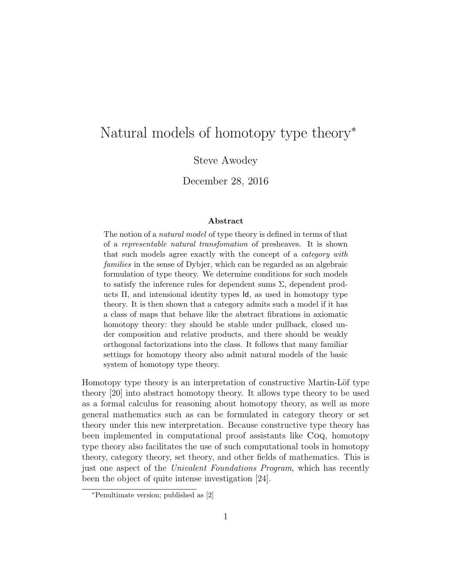# Natural models of homotopy type theory<sup>∗</sup>

Steve Awodey

December 28, 2016

#### Abstract

The notion of a natural model of type theory is defined in terms of that of a representable natural transfomation of presheaves. It is shown that such models agree exactly with the concept of a category with families in the sense of Dybjer, which can be regarded as an algebraic formulation of type theory. We determine conditions for such models to satisfy the inference rules for dependent sums  $\Sigma$ , dependent products Π, and intensional identity types Id, as used in homotopy type theory. It is then shown that a category admits such a model if it has a class of maps that behave like the abstract fibrations in axiomatic homotopy theory: they should be stable under pullback, closed under composition and relative products, and there should be weakly orthogonal factorizations into the class. It follows that many familiar settings for homotopy theory also admit natural models of the basic system of homotopy type theory.

Homotopy type theory is an interpretation of constructive Martin-Löf type theory [20] into abstract homotopy theory. It allows type theory to be used as a formal calculus for reasoning about homotopy theory, as well as more general mathematics such as can be formulated in category theory or set theory under this new interpretation. Because constructive type theory has been implemented in computational proof assistants like Coq, homotopy type theory also facilitates the use of such computational tools in homotopy theory, category theory, set theory, and other fields of mathematics. This is just one aspect of the Univalent Foundations Program, which has recently been the object of quite intense investigation [24].

<sup>∗</sup>Penultimate version; published as [2]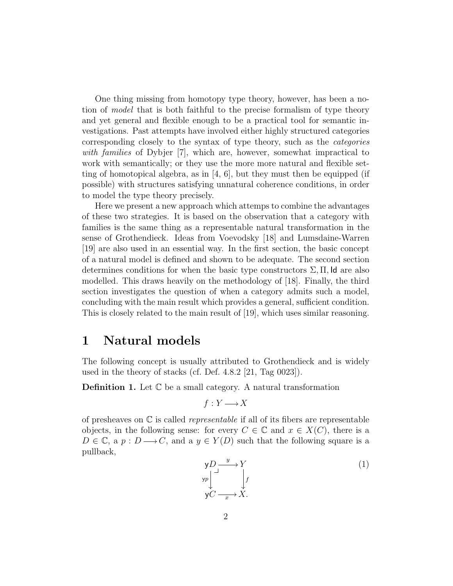One thing missing from homotopy type theory, however, has been a notion of model that is both faithful to the precise formalism of type theory and yet general and flexible enough to be a practical tool for semantic investigations. Past attempts have involved either highly structured categories corresponding closely to the syntax of type theory, such as the categories with families of Dybjer [7], which are, however, somewhat impractical to work with semantically; or they use the more more natural and flexible setting of homotopical algebra, as in  $[4, 6]$ , but they must then be equipped (if possible) with structures satisfying unnatural coherence conditions, in order to model the type theory precisely.

Here we present a new approach which attemps to combine the advantages of these two strategies. It is based on the observation that a category with families is the same thing as a representable natural transformation in the sense of Grothendieck. Ideas from Voevodsky [18] and Lumsdaine-Warren [19] are also used in an essential way. In the first section, the basic concept of a natural model is defined and shown to be adequate. The second section determines conditions for when the basic type constructors  $\Sigma$ ,  $\Pi$ , Id are also modelled. This draws heavily on the methodology of [18]. Finally, the third section investigates the question of when a category admits such a model, concluding with the main result which provides a general, sufficient condition. This is closely related to the main result of [19], which uses similar reasoning.

### 1 Natural models

The following concept is usually attributed to Grothendieck and is widely used in the theory of stacks (cf. Def. 4.8.2 [21, Tag 0023]).

**Definition 1.** Let  $\mathbb C$  be a small category. A natural transformation

$$
f: Y \longrightarrow X
$$

of presheaves on  $\mathbb C$  is called *representable* if all of its fibers are representable objects, in the following sense: for every  $C \in \mathbb{C}$  and  $x \in X(C)$ , there is a  $D \in \mathbb{C}$ , a  $p : D \longrightarrow C$ , and a  $y \in Y(D)$  such that the following square is a pullback,

$$
\begin{array}{ccc}\n\mathsf{y}D & \xrightarrow{y} & Y \\
\downarrow^{yp} & & \downarrow^{f} \\
\mathsf{y}C & \xrightarrow{x} & X.\n\end{array} \tag{1}
$$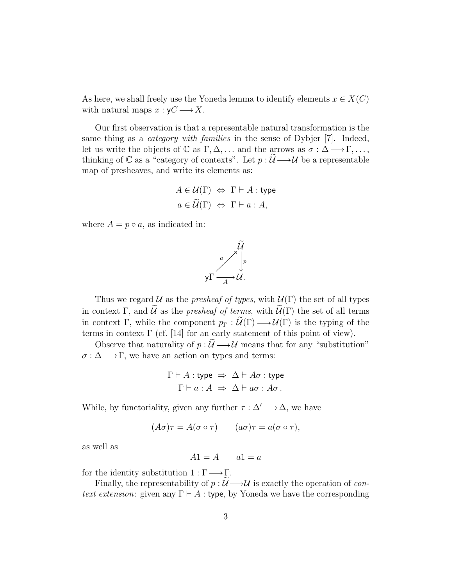As here, we shall freely use the Yoneda lemma to identify elements  $x \in X(C)$ with natural maps  $x : yC \longrightarrow X$ .

Our first observation is that a representable natural transformation is the same thing as a *category with families* in the sense of Dybjer [7]. Indeed, let us write the objects of  $\mathbb C$  as  $\Gamma, \Delta, \ldots$  and the arrows as  $\sigma : \Delta \longrightarrow \Gamma, \ldots$ , thinking of  $\mathbb C$  as a "category of contexts". Let  $p : \mathcal U \longrightarrow \mathcal U$  be a representable map of presheaves, and write its elements as:

$$
A \in \mathcal{U}(\Gamma) \Leftrightarrow \Gamma \vdash A : \text{type}
$$

$$
a \in \widetilde{\mathcal{U}}(\Gamma) \Leftrightarrow \Gamma \vdash a : A,
$$

where  $A = p \circ a$ , as indicated in:



Thus we regard  $U$  as the *presheaf of types*, with  $U(\Gamma)$  the set of all types in context Γ, and  $\tilde{U}$  as the *presheaf of terms*, with  $\tilde{U}(\Gamma)$  the set of all terms in context Γ, while the component  $p_{\Gamma}: \widetilde{\mathcal{U}}(\Gamma) \longrightarrow \mathcal{U}(\Gamma)$  is the typing of the terms in context  $\Gamma$  (cf. [14] for an early statement of this point of view).

Observe that naturality of  $p : \mathcal{U} \longrightarrow \mathcal{U}$  means that for any "substitution"  $\sigma : \Delta \longrightarrow \Gamma$ , we have an action on types and terms:

$$
\Gamma \vdash A : \text{type} \Rightarrow \Delta \vdash A\sigma : \text{type}
$$

$$
\Gamma \vdash a : A \Rightarrow \Delta \vdash a\sigma : A\sigma.
$$

While, by functoriality, given any further  $\tau : \Delta' \longrightarrow \Delta$ , we have

$$
(A\sigma)\tau = A(\sigma \circ \tau) \qquad (a\sigma)\tau = a(\sigma \circ \tau),
$$

as well as

$$
A1 = A \qquad a1 = a
$$

for the identity substitution  $1 : \Gamma \longrightarrow \Gamma$ .

Finally, the representability of  $p : U \longrightarrow U$  is exactly the operation of context extension: given any  $\Gamma \vdash A$ : type, by Yoneda we have the corresponding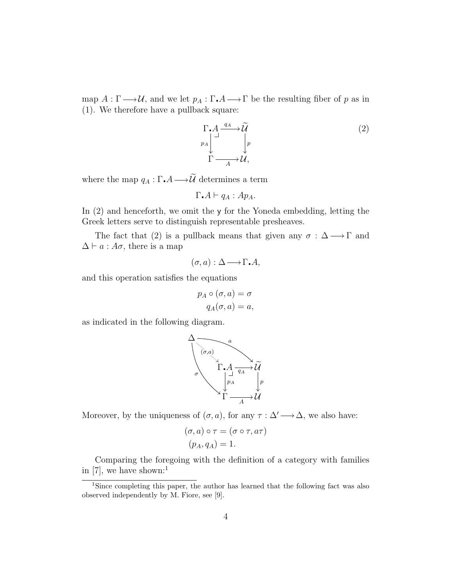map  $A: \Gamma \longrightarrow \mathcal{U}$ , and we let  $p_A: \Gamma \cdot A \longrightarrow \Gamma$  be the resulting fiber of p as in (1). We therefore have a pullback square:

$$
\Gamma \n\to A \xrightarrow{q_A} \widetilde{\mathcal{U}} \n\downarrow p
$$
\n
$$
\Gamma \xrightarrow{A} \mathcal{U},
$$
\n(2)

where the map  $q_A : \Gamma \cdot A \longrightarrow \widetilde{\mathcal{U}}$  determines a term

$$
\Gamma_{\bullet}A \vdash q_A : Ap_A.
$$

In (2) and henceforth, we omit the y for the Yoneda embedding, letting the Greek letters serve to distinguish representable presheaves.

The fact that (2) is a pullback means that given any  $\sigma : \Delta \longrightarrow \Gamma$  and  $\Delta \vdash a : A\sigma$ , there is a map

$$
(\sigma, a) : \Delta \longrightarrow \Gamma \cdot A,
$$

and this operation satisfies the equations

$$
p_A \circ (\sigma, a) = \sigma
$$
  
 
$$
q_A(\sigma, a) = a,
$$

as indicated in the following diagram.



Moreover, by the uniqueness of  $(\sigma, a)$ , for any  $\tau : \Delta' \longrightarrow \Delta$ , we also have:

$$
(\sigma, a) \circ \tau = (\sigma \circ \tau, a\tau)
$$

$$
(p_A, q_A) = 1.
$$

Comparing the foregoing with the definition of a category with families in [7], we have shown:<sup>1</sup>

<sup>&</sup>lt;sup>1</sup>Since completing this paper, the author has learned that the following fact was also observed independently by M. Fiore, see [9].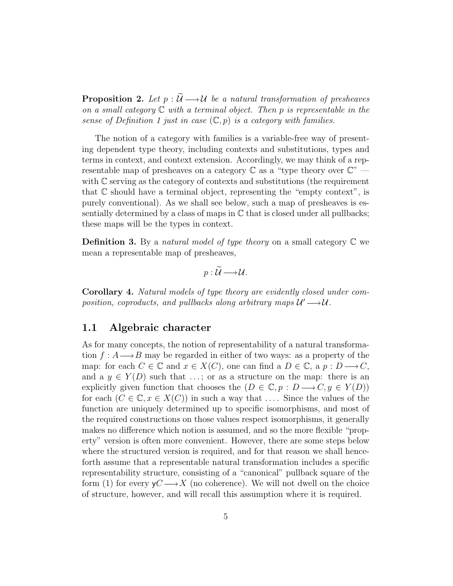**Proposition 2.** Let  $p : \widetilde{U} \longrightarrow U$  be a natural transformation of presheaves on a small category  $\mathbb C$  with a terminal object. Then p is representable in the sense of Definition 1 just in case  $(\mathbb{C}, p)$  is a category with families.

The notion of a category with families is a variable-free way of presenting dependent type theory, including contexts and substitutions, types and terms in context, and context extension. Accordingly, we may think of a representable map of presheaves on a category  $\mathbb C$  as a "type theory over  $\mathbb C$ " with  $\mathbb C$  serving as the category of contexts and substitutions (the requirement that  $\mathbb C$  should have a terminal object, representing the "empty context", is purely conventional). As we shall see below, such a map of presheaves is essentially determined by a class of maps in  $\mathbb C$  that is closed under all pullbacks; these maps will be the types in context.

**Definition 3.** By a natural model of type theory on a small category  $\mathbb{C}$  we mean a representable map of presheaves,

$$
p:\mathcal{U}\longrightarrow\mathcal{U}.
$$

Corollary 4. Natural models of type theory are evidently closed under composition, coproducts, and pullbacks along arbitrary maps  $\mathcal{U}' \longrightarrow \mathcal{U}$ .

#### 1.1 Algebraic character

As for many concepts, the notion of representability of a natural transformation  $f : A \longrightarrow B$  may be regarded in either of two ways: as a property of the map: for each  $C \in \mathbb{C}$  and  $x \in X(C)$ , one can find a  $D \in \mathbb{C}$ , a  $p : D \longrightarrow C$ , and a  $y \in Y(D)$  such that ...; or as a structure on the map: there is an explicitly given function that chooses the  $(D \in \mathbb{C}, p : D \longrightarrow C, y \in Y(D))$ for each  $(C \in \mathbb{C}, x \in X(C))$  in such a way that .... Since the values of the function are uniquely determined up to specific isomorphisms, and most of the required constructions on those values respect isomorphisms, it generally makes no difference which notion is assumed, and so the more flexible "property" version is often more convenient. However, there are some steps below where the structured version is required, and for that reason we shall henceforth assume that a representable natural transformation includes a specific representability structure, consisting of a "canonical" pullback square of the form (1) for every  $yC \rightarrow X$  (no coherence). We will not dwell on the choice of structure, however, and will recall this assumption where it is required.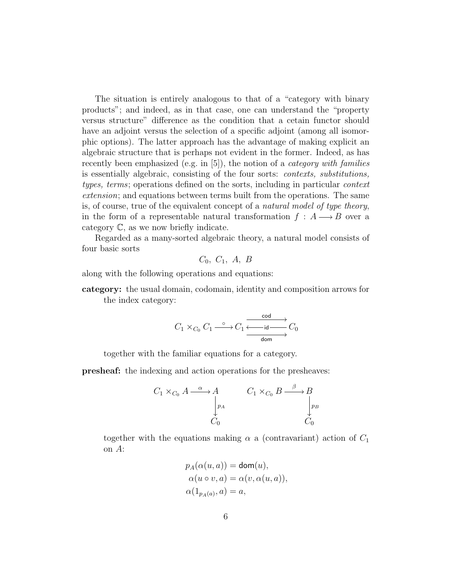The situation is entirely analogous to that of a "category with binary products"; and indeed, as in that case, one can understand the "property versus structure" difference as the condition that a cetain functor should have an adjoint versus the selection of a specific adjoint (among all isomorphic options). The latter approach has the advantage of making explicit an algebraic structure that is perhaps not evident in the former. Indeed, as has recently been emphasized (e.g. in  $[5]$ ), the notion of a *category with families* is essentially algebraic, consisting of the four sorts: contexts, substitutions, types, terms; operations defined on the sorts, including in particular context extension; and equations between terms built from the operations. The same is, of course, true of the equivalent concept of a natural model of type theory, in the form of a representable natural transformation  $f : A \longrightarrow B$  over a category C, as we now briefly indicate.

Regarded as a many-sorted algebraic theory, a natural model consists of four basic sorts

$$
C_0, C_1, A, B
$$

along with the following operations and equations:

category: the usual domain, codomain, identity and composition arrows for the index category:

$$
C_1 \times_{C_0} C_1 \xrightarrow{\circ} C_1 \xrightarrow{\text{cod} \atop \text{cod} \atop \text{dom}} C_0
$$

together with the familiar equations for a category.

presheaf: the indexing and action operations for the presheaves:

$$
C_1 \times_{C_0} A \xrightarrow{\alpha} A \qquad C_1 \times_{C_0} B \xrightarrow{\beta} B
$$
  
\n
$$
\downarrow_{P^A} \qquad C_0
$$

together with the equations making  $\alpha$  a (contravariant) action of  $C_1$ on A:

$$
p_A(\alpha(u, a)) = \text{dom}(u),
$$
  
\n
$$
\alpha(u \circ v, a) = \alpha(v, \alpha(u, a)),
$$
  
\n
$$
\alpha(1_{p_A(a)}, a) = a,
$$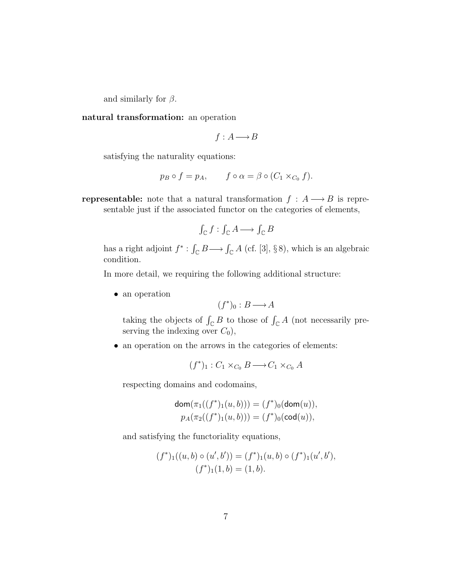and similarly for  $\beta$ .

natural transformation: an operation

$$
f: A \longrightarrow B
$$

satisfying the naturality equations:

$$
p_B \circ f = p_A, \qquad f \circ \alpha = \beta \circ (C_1 \times_{C_0} f).
$$

**representable:** note that a natural transformation  $f : A \longrightarrow B$  is representable just if the associated functor on the categories of elements,

$$
\int_{\mathbb{C}} f : \int_{\mathbb{C}} A \longrightarrow \int_{\mathbb{C}} B
$$

has a right adjoint  $f^* : \int_{\mathbb{C}} B \longrightarrow \int_{\mathbb{C}} A$  (cf. [3], §8), which is an algebraic condition.

In more detail, we requiring the following additional structure:

• an operation

$$
(f^*)_0 : B \longrightarrow A
$$

taking the objects of  $\int_{\mathbb{C}} B$  to those of  $\int_{\mathbb{C}} A$  (not necessarily preserving the indexing over  $C_0$ ),

• an operation on the arrows in the categories of elements:

$$
(f^*)_1: C_1 \times_{C_0} B \longrightarrow C_1 \times_{C_0} A
$$

respecting domains and codomains,

$$
dom(\pi_1((f^*)_1(u, b))) = (f^*)_0 (dom(u)),
$$
  

$$
p_A(\pi_2((f^*)_1(u, b))) = (f^*)_0 (cod(u)),
$$

and satisfying the functoriality equations,

$$
(f^*)_1((u,b)\circ(u',b')) = (f^*)_1(u,b)\circ(f^*)_1(u',b'),(f^*)_1(1,b) = (1,b).
$$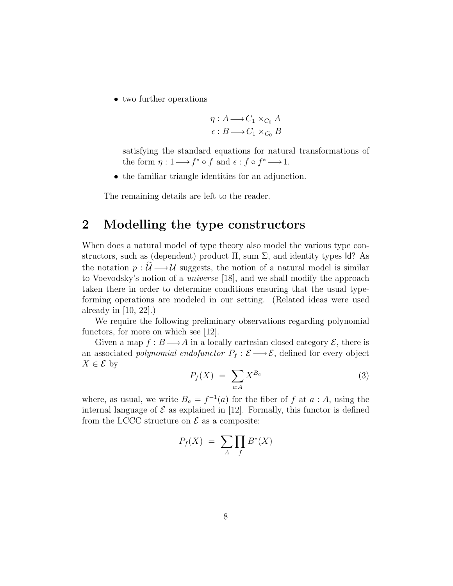• two further operations

$$
\eta: A \longrightarrow C_1 \times_{C_0} A
$$

$$
\epsilon: B \longrightarrow C_1 \times_{C_0} B
$$

satisfying the standard equations for natural transformations of the form  $\eta: 1 \longrightarrow f^* \circ f$  and  $\epsilon: f \circ f^* \longrightarrow 1$ .

• the familiar triangle identities for an adjunction.

The remaining details are left to the reader.

### 2 Modelling the type constructors

When does a natural model of type theory also model the various type constructors, such as (dependent) product  $\Pi$ , sum  $\Sigma$ , and identity types Id? As the notation  $p : \mathcal{U} \longrightarrow \mathcal{U}$  suggests, the notion of a natural model is similar to Voevodsky's notion of a universe [18], and we shall modify the approach taken there in order to determine conditions ensuring that the usual typeforming operations are modeled in our setting. (Related ideas were used already in [10, 22].)

We require the following preliminary observations regarding polynomial functors, for more on which see [12].

Given a map  $f : B \longrightarrow A$  in a locally cartesian closed category  $\mathcal{E}$ , there is an associated *polynomial endofunctor*  $P_f : \mathcal{E} \longrightarrow \mathcal{E}$ , defined for every object  $X \in \mathcal{E}$  by

$$
P_f(X) = \sum_{a:A} X^{B_a} \tag{3}
$$

where, as usual, we write  $B_a = f^{-1}(a)$  for the fiber of f at  $a : A$ , using the internal language of  $\mathcal E$  as explained in [12]. Formally, this functor is defined from the LCCC structure on  $\mathcal E$  as a composite:

$$
P_f(X) = \sum_A \prod_f B^*(X)
$$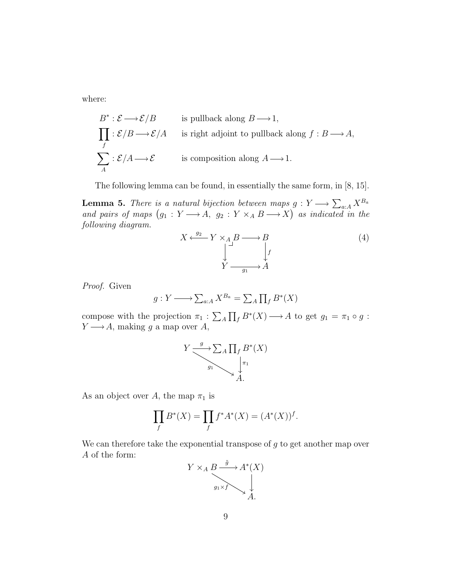where:

$$
B^* : \mathcal{E} \longrightarrow \mathcal{E}/B \qquad \text{is pullback along } B \longrightarrow 1,
$$
  

$$
\prod_f : \mathcal{E}/B \longrightarrow \mathcal{E}/A \qquad \text{is right adjoint to pullback along } f : B \longrightarrow A,
$$
  

$$
\sum_A : \mathcal{E}/A \longrightarrow \mathcal{E} \qquad \text{is composition along } A \longrightarrow 1.
$$

The following lemma can be found, in essentially the same form, in [8, 15].

**Lemma 5.** There is a natural bijection between maps  $g: Y \longrightarrow \sum_{a:A} X^{B_a}$ and pairs of maps  $(g_1 : Y \longrightarrow A, g_2 : Y \times_A B \longrightarrow X)$  as indicated in the following diagram.

$$
X \xleftarrow{g_2} Y \times_A B \longrightarrow B
$$
  
\n
$$
\downarrow^{\perp} \qquad \qquad \downarrow^f
$$
  
\n
$$
Y \longrightarrow A
$$
\n(4)

Proof. Given

$$
g: Y \longrightarrow \sum_{a:A} X^{B_a} = \sum_A \prod_f B^*(X)
$$

compose with the projection  $\pi_1 : \sum_A \prod_f B^*(X) \longrightarrow A$  to get  $g_1 = \pi_1 \circ g$ :  $Y \longrightarrow A$ , making g a map over A,



As an object over A, the map  $\pi_1$  is

$$
\prod_{f} B^{*}(X) = \prod_{f} f^{*} A^{*}(X) = (A^{*}(X))^{f}.
$$

We can therefore take the exponential transpose of  $q$  to get another map over A of the form:

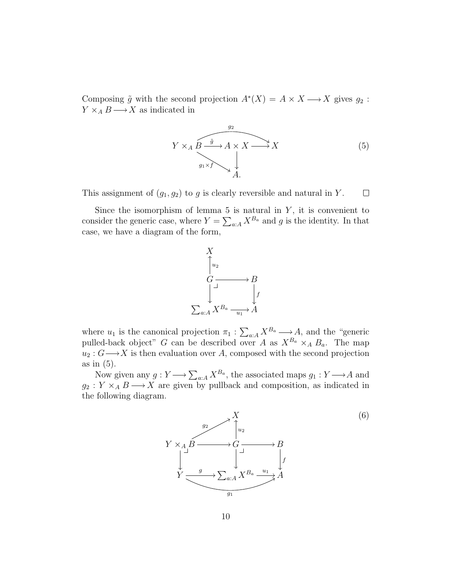Composing  $\tilde{g}$  with the second projection  $A^*(X) = A \times X \longrightarrow X$  gives  $g_2$ :  $Y \times_A B \longrightarrow X$  as indicated in



This assignment of  $(g_1, g_2)$  to g is clearly reversible and natural in Y.  $\Box$ 

Since the isomorphism of lemma 5 is natural in  $Y$ , it is convenient to consider the generic case, where  $Y = \sum_{a:A} X^{B_a}$  and g is the identity. In that case, we have a diagram of the form,



where  $u_1$  is the canonical projection  $\pi_1 : \sum_{a:A} X^{B_a} \longrightarrow A$ , and the "generic pulled-back object" G can be described over A as  $X^{B_a} \times_A B_a$ . The map  $u_2 : G \longrightarrow X$  is then evaluation over A, composed with the second projection as in (5).

Now given any  $g: Y \longrightarrow \sum_{a:A} X^{B_a}$ , the associated maps  $g_1: Y \longrightarrow A$  and  $g_2 : Y \times_A B \longrightarrow X$  are given by pullback and composition, as indicated in the following diagram.

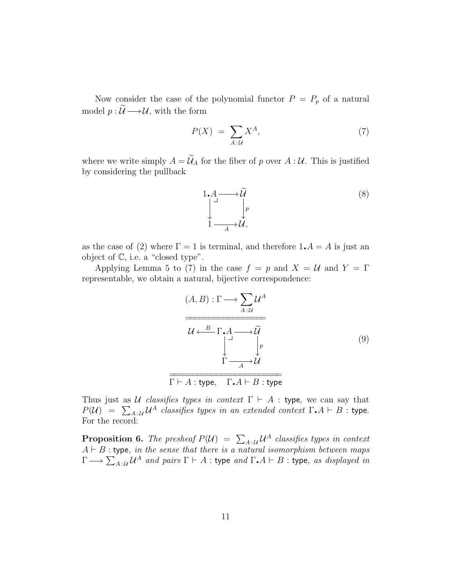Now consider the case of the polynomial functor  $P = P_p$  of a natural model  $p : \widetilde{\mathcal{U}} \longrightarrow \mathcal{U}$ , with the form

$$
P(X) = \sum_{A:\mathcal{U}} X^A,\tag{7}
$$

where we write simply  $A = \widetilde{U}_A$  for the fiber of p over  $A : U$ . This is justified by considering the pullback



as the case of (2) where  $\Gamma = 1$  is terminal, and therefore  $1.A = A$  is just an object of C, i.e. a "closed type".

Applying Lemma 5 to (7) in the case  $f = p$  and  $X = U$  and  $Y = \Gamma$ representable, we obtain a natural, bijective correspondence:

$$
(A, B) : \Gamma \longrightarrow \sum_{A:U} \mathcal{U}^{A}
$$
\n
$$
\overline{\mathcal{U} \xleftarrow{B} \Gamma \cdot A \longrightarrow \widetilde{\mathcal{U}} \qquad \downarrow^{p}}
$$
\n
$$
\Gamma \longrightarrow \mathcal{U}
$$
\n
$$
\Gamma \vdash A : \text{type}, \quad \Gamma \cdot A \vdash B : \text{type}
$$
\n(9)

Thus just as U classifies types in context  $\Gamma \vdash A$  : type, we can say that  $P(U) = \sum_{A \in \mathcal{U}} \mathcal{U}^A$  classifies types in an extended context  $\Gamma \cdot A \vdash B$  : type. For the record:

**Proposition 6.** The presheaf  $P(\mathcal{U}) = \sum_{A \in \mathcal{U}} \mathcal{U}^A$  classifies types in context  $A \vdash B$ : type, in the sense that there is a natural isomorphism between maps  $\Gamma \longrightarrow \sum_{A\,:\,\mathcal{U}} \mathcal{U}^A$  and pairs  $\Gamma\vdash A:$  type and  $\Gamma$   $A\vdash B:$  type, as displayed in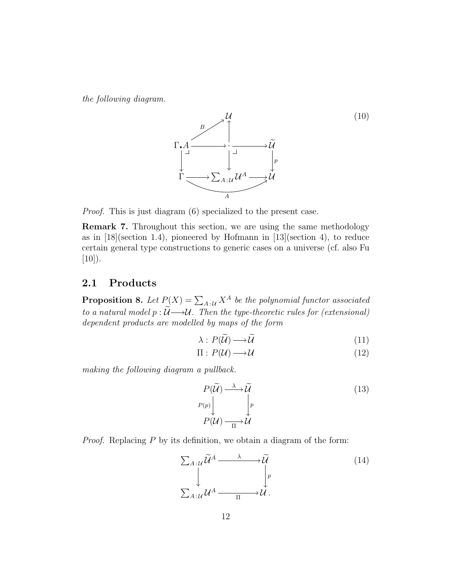the following diagram.



Proof. This is just diagram (6) specialized to the present case.

Remark 7. Throughout this section, we are using the same methodology as in [18](section 1.4), pioneered by Hofmann in [13](section 4), to reduce certain general type constructions to generic cases on a universe (cf. also Fu  $[10]$ ).

#### 2.1 Products

**Proposition 8.** Let  $P(X) = \sum_{A \in \mathcal{U}} X^A$  be the polynomial functor associated to a natural model  $p : \widetilde{\mathcal{U}} \longrightarrow \mathcal{U}$ . Then the type-theoretic rules for (extensional) dependent products are modelled by maps of the form

$$
\lambda: P(\widetilde{\mathcal{U}}) \longrightarrow \widetilde{\mathcal{U}} \tag{11}
$$

$$
\Pi: P(\mathcal{U}) \longrightarrow \mathcal{U}
$$
\n<sup>(12)</sup>

making the following diagram a pullback.

$$
P(\widetilde{U}) \xrightarrow{\lambda} \widetilde{U}
$$
  
\n
$$
P(p) \downarrow \qquad \qquad p
$$
  
\n
$$
P(U) \xrightarrow{\Pi} U
$$
\n(13)

Proof. Replacing P by its definition, we obtain a diagram of the form:

$$
\sum_{A:\mathcal{U}} \widetilde{\mathcal{U}}^A \xrightarrow{\lambda} \widetilde{\mathcal{U}} \\
\downarrow^p \\
\sum_{A:\mathcal{U}} \mathcal{U}^A \xrightarrow{\lambda} \mathcal{U}.
$$
\n(14)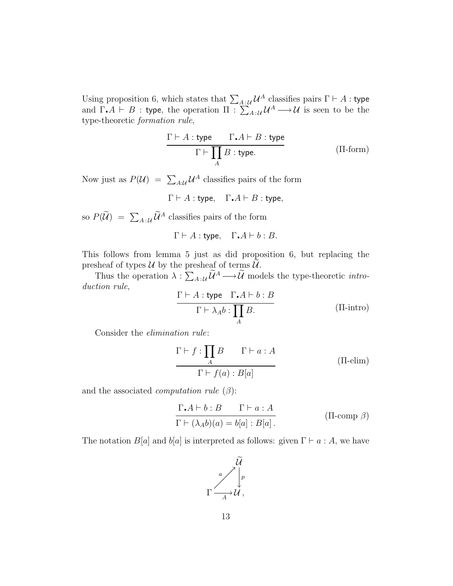Using proposition 6, which states that  $\sum_{A|\mathcal{U}} \mathcal{U}^A$  classifies pairs  $\Gamma \vdash A$  : type and  $\Gamma \cdot A \vdash B$ : type, the operation  $\Pi \cdot \sum_{A} A_{A} \cup \mathcal{U}^{A} \longrightarrow \mathcal{U}$  is seen to be the type-theoretic formation rule,

$$
\frac{\Gamma \vdash A : \text{type} \qquad \Gamma \cdot A \vdash B : \text{type}}{\Gamma \vdash \prod_{A} B : \text{type.}} \tag{II-form}
$$

Now just as  $P(\mathcal{U}) = \sum_{A:\mathcal{U}} \mathcal{U}^A$  classifies pairs of the form

$$
\Gamma \vdash A : \mathsf{type}, \quad \Gamma \centerdot A \vdash B : \mathsf{type},
$$

so  $P(\mathcal{U}) = \sum_{A|\mathcal{U}} \mathcal{U}^A$  classifies pairs of the form

$$
\Gamma \vdash A : \text{type}, \quad \Gamma \cdot A \vdash b : B.
$$

This follows from lemma 5 just as did proposition 6, but replacing the presheaf of types  $\mathcal U$  by the presheaf of terms  $\widetilde{\mathcal U}$ .

Thus the operation  $\lambda : \sum_{A : \mathcal{U}} \mathcal{U}^A \longrightarrow \mathcal{U}$  models the type-theoretic *intro*duction rule,

$$
\frac{\Gamma \vdash A : \text{type} \quad \Gamma \cdot A \vdash b : B}{\Gamma \vdash \lambda_A b : \prod_A B}.
$$
 (II-intro)

Consider the elimination rule:

$$
\Gamma \vdash f : \prod_{A} B \qquad \Gamma \vdash a : A
$$
  
 
$$
\Gamma \vdash f(a) : B[a] \qquad (\Pi\text{-elim})
$$

and the associated *computation rule*  $(\beta)$ :

$$
\frac{\Gamma \cdot A \vdash b : B \qquad \Gamma \vdash a : A}{\Gamma \vdash (\lambda_A b)(a) = b[a] : B[a]}.
$$
\n(II-comp  $\beta$ )

The notation  $B[a]$  and  $b[a]$  is interpreted as follows: given  $\Gamma \vdash a : A$ , we have

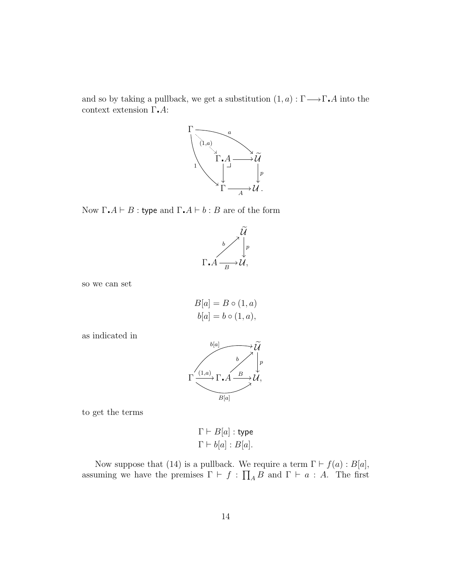and so by taking a pullback, we get a substitution  $(1, a) : \Gamma \longrightarrow \Gamma$ . A into the context extension  $\Gamma$ . A:



Now Γ. $A \vdash B$ : type and Γ. $A \vdash b : B$  are of the form



so we can set

$$
B[a] = B \circ (1, a)
$$
  

$$
b[a] = b \circ (1, a),
$$

as indicated in



to get the terms

$$
\Gamma \vdash B[a] : \text{type}
$$

$$
\Gamma \vdash b[a] : B[a].
$$

Now suppose that (14) is a pullback. We require a term  $\Gamma \vdash f(a) : B[a],$ assuming we have the premises  $\Gamma \vdash f : \prod_{A} B$  and  $\Gamma \vdash a : A$ . The first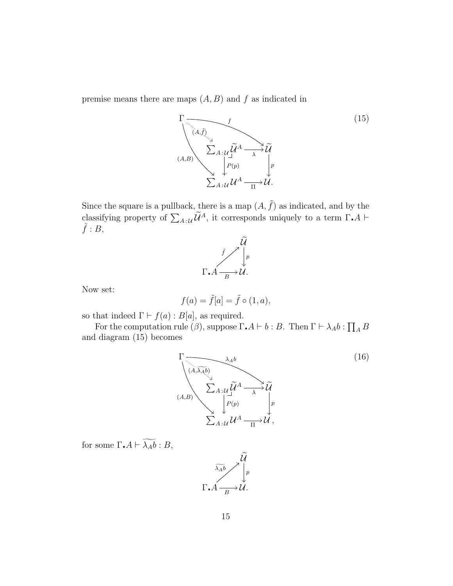premise means there are maps  $(A, B)$  and f as indicated in



Since the square is a pullback, there is a map  $(A, \tilde{f})$  as indicated, and by the classifying property of  $\sum_{A:\mathcal{U}} \widetilde{\mathcal{U}}^A$ , it corresponds uniquely to a term  $\Gamma$ . A  $\vdash$  $\tilde{f}$ : B,



Now set:

$$
f(a) = \tilde{f}[a] = \tilde{f} \circ (1, a),
$$

so that indeed  $\Gamma \vdash f(a) : B[a]$ , as required.

For the computation rule  $(\beta)$ , suppose  $\Gamma \cdot A \vdash b : B$ . Then  $\Gamma \vdash \lambda_A b : \prod_A B$ and diagram (15) becomes



for some  $\Gamma \cdot A \vdash \widetilde{\lambda_A b} : B,$ 

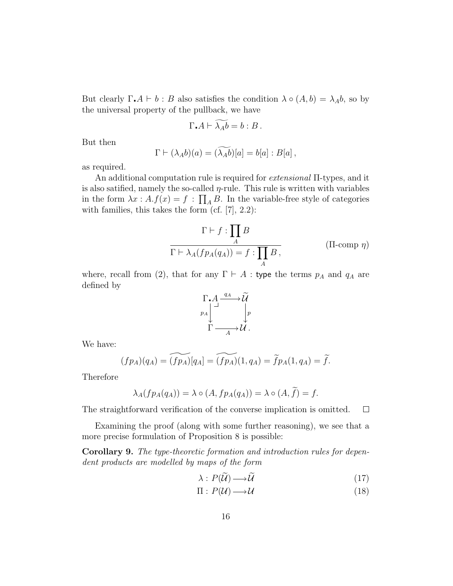But clearly  $\Gamma \cdot A \vdash b : B$  also satisfies the condition  $\lambda \circ (A, b) = \lambda_A b$ , so by the universal property of the pullback, we have

$$
\Gamma \cdot A \vdash \widetilde{\lambda_A b} = b : B \, .
$$

But then

$$
\Gamma \vdash (\lambda_A b)(a) = (\widetilde{\lambda_A b})[a] = b[a] : B[a],
$$

as required.

An additional computation rule is required for extensional Π-types, and it is also satified, namely the so-called  $\eta$ -rule. This rule is written with variables in the form  $\lambda x : A.f(x) = f : \prod_A B$ . In the variable-free style of categories with families, this takes the form  $(cf. [7], 2.2)$ :

$$
\Gamma \vdash f : \prod_{A} B
$$
  

$$
\Gamma \vdash \lambda_A(f p_A(q_A)) = f : \prod_{A} B,
$$
 (II-comp  $\eta$ )

where, recall from (2), that for any  $\Gamma \vdash A$  : type the terms  $p_A$  and  $q_A$  are defined by



We have:

$$
(fp_A)(q_A) = \widetilde{(fp_A)}[q_A] = \widetilde{(fp_A)}(1, q_A) = \widetilde{f}p_A(1, q_A) = \widetilde{f}.
$$

Therefore

$$
\lambda_A(f p_A(q_A)) = \lambda \circ (A, f p_A(q_A)) = \lambda \circ (A, \widetilde{f}) = f.
$$

The straightforward verification of the converse implication is omitted.  $\Box$ 

Examining the proof (along with some further reasoning), we see that a more precise formulation of Proposition 8 is possible:

Corollary 9. The type-theoretic formation and introduction rules for dependent products are modelled by maps of the form

$$
\lambda: P(\widetilde{\mathcal{U}}) \longrightarrow \widetilde{\mathcal{U}} \tag{17}
$$

$$
\Pi: P(\mathcal{U}) \longrightarrow \mathcal{U}
$$
\n<sup>(18)</sup>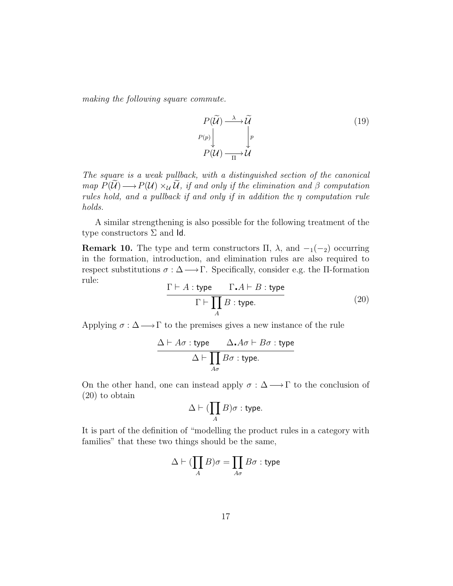making the following square commute.

$$
P(\widetilde{\mathcal{U}}) \xrightarrow{\lambda} \widetilde{\mathcal{U}}
$$
  
\n
$$
P(p) \downarrow \qquad \qquad p
$$
  
\n
$$
P(\mathcal{U}) \xrightarrow{\lambda} \widetilde{\mathcal{U}}
$$
  
\n(19)

The square is a weak pullback, with a distinguished section of the canonical map  $P(\mathcal{U}) \longrightarrow P(\mathcal{U}) \times_{\mathcal{U}} \mathcal{U}$ , if and only if the elimination and  $\beta$  computation rules hold, and a pullback if and only if in addition the η computation rule holds.

A similar strengthening is also possible for the following treatment of the type constructors  $\Sigma$  and Id.

**Remark 10.** The type and term constructors  $\Pi$ ,  $\lambda$ , and  $-\lambda$  occurring in the formation, introduction, and elimination rules are also required to respect substitutions  $\sigma : \Delta \longrightarrow \Gamma$ . Specifically, consider e.g. the II-formation rule:

$$
\frac{\Gamma \vdash A : \text{type} \qquad \Gamma \cdot A \vdash B : \text{type}}{\Gamma \vdash \prod_{A} B : \text{type.}} \tag{20}
$$

Applying  $\sigma : \Delta \longrightarrow \Gamma$  to the premises gives a new instance of the rule

$$
\frac{\Delta \vdash A\sigma : \text{type} \qquad \Delta\centerdot A\sigma \vdash B\sigma : \text{type}}{\Delta \vdash \prod_{A\sigma} B\sigma : \text{type.}}
$$

On the other hand, one can instead apply  $\sigma : \Delta \longrightarrow \Gamma$  to the conclusion of (20) to obtain

$$
\Delta \vdash (\prod_{A} B) \sigma : \text{type}.
$$

It is part of the definition of "modelling the product rules in a category with families" that these two things should be the same,

$$
\Delta \vdash (\prod_A B)\sigma = \prod_{A\sigma} B\sigma : \text{type}
$$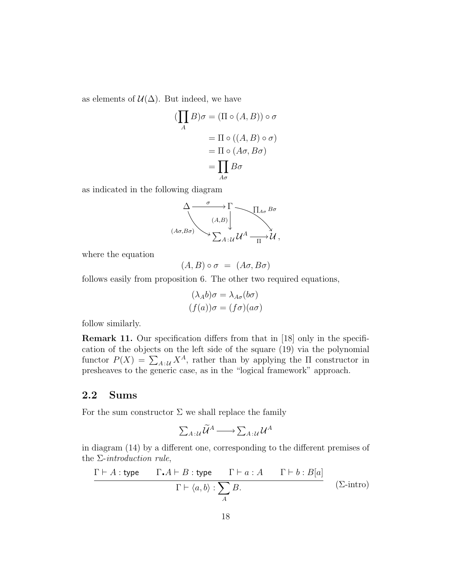as elements of  $\mathcal{U}(\Delta)$ . But indeed, we have

$$
(\prod_{A} B)\sigma = (\Pi \circ (A, B)) \circ \sigma
$$

$$
= \Pi \circ ((A, B) \circ \sigma)
$$

$$
= \Pi \circ (A\sigma, B\sigma)
$$

$$
= \prod_{A\sigma} B\sigma
$$

as indicated in the following diagram

$$
\begin{array}{ccc}\n\Delta & \sigma & \Gamma \\
\hline\n\langle A,\beta\sigma\rangle & & \n\end{array}
$$
\n
$$
\begin{array}{ccc}\n\Delta & \sigma & \Gamma \\
\hline\n\langle A,\beta\rangle & & \n\end{array}
$$
\n
$$
\begin{array}{ccc}\n\Delta & \sigma & \Gamma \\
\hline\n\Gamma & \Delta & \Gamma \\
\hline\n\Gamma & \Delta & \n\end{array}
$$
\n
$$
\begin{array}{ccc}\n\Delta & \sigma & \n\end{array}
$$
\n
$$
\begin{array}{ccc}\n\Delta & \sigma & \n\end{array}
$$
\n
$$
\begin{array}{ccc}\n\Delta & \sigma & \n\end{array}
$$

where the equation

$$
(A,B)\circ\sigma\ =\ (A\sigma,B\sigma)
$$

follows easily from proposition 6. The other two required equations,

$$
(\lambda_A b)\sigma = \lambda_{A\sigma}(b\sigma)
$$

$$
(f(a))\sigma = (f\sigma)(a\sigma)
$$

follow similarly.

Remark 11. Our specification differs from that in [18] only in the specification of the objects on the left side of the square (19) via the polynomial functor  $P(X) = \sum_{A \in \mathcal{U}} X^A$ , rather than by applying the  $\Pi$  constructor in presheaves to the generic case, as in the "logical framework" approach.

#### 2.2 Sums

For the sum constructor  $\Sigma$  we shall replace the family

$$
\sum_{A\,:\,\mathcal{U}}\widetilde{\mathcal{U}}^A\longrightarrow\sum_{A\,:\,\mathcal{U}}\mathcal{U}^A
$$

in diagram (14) by a different one, corresponding to the different premises of the  $\Sigma\text{-}introduction rule,$ 

$$
\frac{\Gamma \vdash A : \text{type} \qquad \Gamma \cdot A \vdash B : \text{type} \qquad \Gamma \vdash a : A \qquad \Gamma \vdash b : B[a]}{\Gamma \vdash \langle a, b \rangle : \sum_{A} B.} \qquad (\Sigma \text{-intro})
$$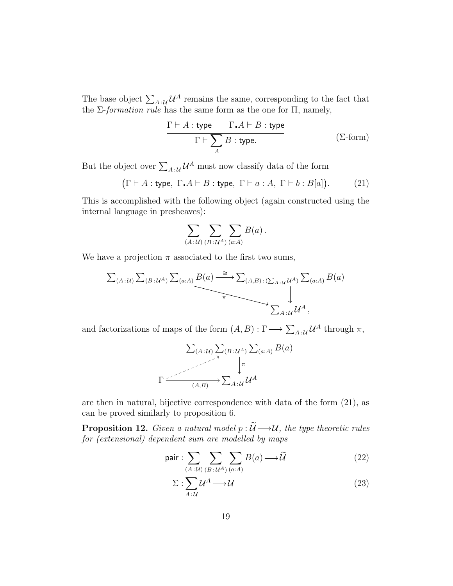The base object  $\sum_{A|\mathcal{U}} \mathcal{U}^A$  remains the same, corresponding to the fact that the  $\Sigma$ -formation rule has the same form as the one for  $\Pi$ , namely,

$$
\frac{\Gamma \vdash A : \text{type} \qquad \Gamma \cdot A \vdash B : \text{type}}{\Gamma \vdash \sum_{A} B : \text{type.}} \tag{2-form}
$$

But the object over  $\sum_{A|\mathcal{U}} \mathcal{U}^A$  must now classify data of the form

$$
(\Gamma \vdash A : \text{type}, \ \Gamma \cdot A \vdash B : \text{type}, \ \Gamma \vdash a : A, \ \Gamma \vdash b : B[a]). \tag{21}
$$

This is accomplished with the following object (again constructed using the internal language in presheaves):

$$
\sum_{(A:U) \ (B:U^A) \ (a:A)} E(a) .
$$

We have a projection  $\pi$  associated to the first two sums,

$$
\sum_{(A:\mathcal{U})}\sum_{(B:\mathcal{U}^A)}\sum_{(a:A)}B(a) \xrightarrow{\cong} \sum_{(A,B):\sum_{A:\mathcal{U}}\mathcal{U}^A)}\sum_{(a:A)}B(a)
$$
\n
$$
\longrightarrow \sum_{A:\mathcal{U}}\mathcal{U}^A,
$$

and factorizations of maps of the form  $(A, B) : \Gamma \longrightarrow \sum_{A \in \mathcal{U}} \mathcal{U}^A$  through  $\pi$ ,

$$
\sum_{(A:\mathcal{U})} \sum_{\gamma} (B:\mathcal{U}^A) \sum_{(a:A)} B(a)
$$
\n
$$
\Gamma \xrightarrow[(A,B)]{\qquad \qquad } \sum_{A:\mathcal{U}} \mathcal{U}^A
$$

are then in natural, bijective correspondence with data of the form (21), as can be proved similarly to proposition 6.

**Proposition 12.** Given a natural model  $p : \widetilde{\mathcal{U}} \longrightarrow \mathcal{U}$ , the type theoretic rules for (extensional) dependent sum are modelled by maps

pair: 
$$
\sum_{(A:U)} \sum_{(B:U^A)} \sum_{(a:A)} B(a) \longrightarrow \widetilde{U}
$$
 (22)

$$
\Sigma: \sum_{A:\mathcal{U}} \mathcal{U}^A \longrightarrow \mathcal{U}
$$
\n(23)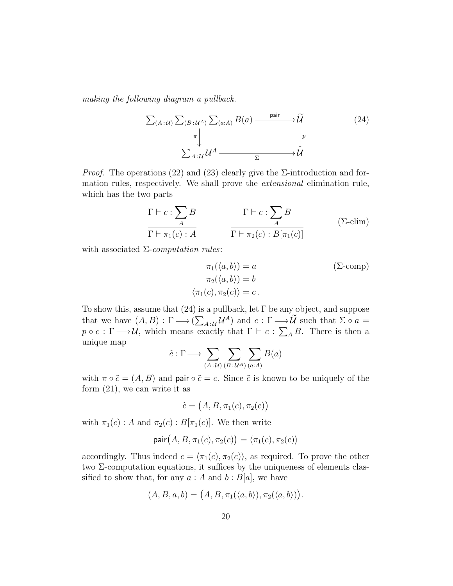making the following diagram a pullback.

$$
\sum_{(A:\mathcal{U})} \sum_{(B:\mathcal{U}^A)} \sum_{(a:A)} B(a) \xrightarrow{\text{pair}} \widetilde{\mathcal{U}} \\
\downarrow^{\pi} \\
\sum_{A:\mathcal{U}} \mathcal{U}^A \xrightarrow{\sum_{\Sigma} \mathcal{U}} \mathcal{U}
$$
\n
$$
(24)
$$

*Proof.* The operations (22) and (23) clearly give the  $\Sigma$ -introduction and formation rules, respectively. We shall prove the extensional elimination rule, which has the two parts

$$
\frac{\Gamma \vdash c : \sum_{A} B}{\Gamma \vdash \pi_1(c) : A} \qquad \qquad \frac{\Gamma \vdash c : \sum_{A} B}{\Gamma \vdash \pi_2(c) : B[\pi_1(c)]} \qquad (\Sigma\text{-elim})
$$

with associated  $\Sigma$ -*computation rules*:

$$
\pi_1(\langle a, b \rangle) = a \qquad (\Sigma\text{-comp})
$$
  
\n
$$
\pi_2(\langle a, b \rangle) = b \qquad (\pi_1(c), \pi_2(c)) = c.
$$

To show this, assume that  $(24)$  is a pullback, let  $\Gamma$  be any object, and suppose that we have  $(A, B) : \Gamma \longrightarrow (\sum_{A \cdot \mathcal{U}} \mathcal{U}^A)$  and  $c : \Gamma \longrightarrow \mathcal{U}$  such that  $\Sigma \circ a =$  $p \circ c : \Gamma \longrightarrow \mathcal{U}$ , which means exactly that  $\Gamma \vdash c : \sum_{A} B$ . There is then a unique map

$$
\tilde{c} : \Gamma \longrightarrow \sum_{(A:\mathcal{U})} \sum_{(B:\mathcal{U}^A)} \sum_{(a:A)} B(a)
$$

with  $\pi \circ \tilde{c} = (A, B)$  and pair  $\circ \tilde{c} = c$ . Since  $\tilde{c}$  is known to be uniquely of the form (21), we can write it as

$$
\tilde{c} = (A, B, \pi_1(c), \pi_2(c))
$$

with  $\pi_1(c)$ : A and  $\pi_2(c)$ :  $B[\pi_1(c)]$ . We then write

$$
\mathsf{pair}(A, B, \pi_1(c), \pi_2(c)) = \langle \pi_1(c), \pi_2(c) \rangle
$$

accordingly. Thus indeed  $c = \langle \pi_1(c), \pi_2(c) \rangle$ , as required. To prove the other two  $\Sigma$ -computation equations, it suffices by the uniqueness of elements classified to show that, for any  $a : A$  and  $b : B[a]$ , we have

$$
(A, B, a, b) = (A, B, \pi_1(\langle a, b \rangle), \pi_2(\langle a, b \rangle)).
$$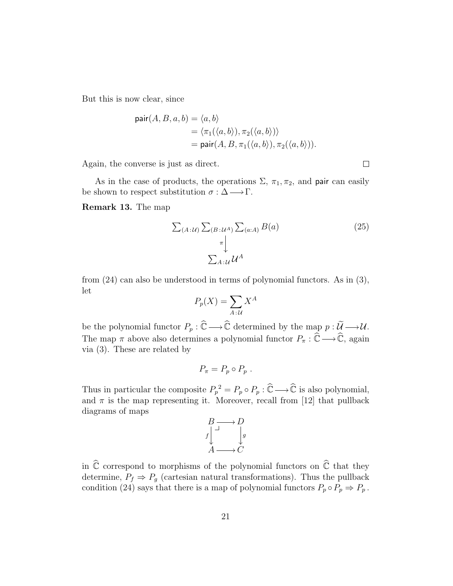But this is now clear, since

pair
$$
(A, B, a, b) = \langle a, b \rangle
$$
  
=  $\langle \pi_1(\langle a, b \rangle), \pi_2(\langle a, b \rangle) \rangle$   
= pair $(A, B, \pi_1(\langle a, b \rangle), \pi_2(\langle a, b \rangle)).$ 

Again, the converse is just as direct.

As in the case of products, the operations  $\Sigma$ ,  $\pi_1$ ,  $\pi_2$ , and pair can easily be shown to respect substitution  $\sigma : \Delta \longrightarrow \Gamma$ .

Remark 13. The map

$$
\sum_{(A:\mathcal{U})} \sum_{(B:\mathcal{U}^A)} \sum_{(a:A)} B(a)
$$
\n
$$
\sum_{A:\mathcal{U}} \mathcal{U}^A
$$
\n(25)

from (24) can also be understood in terms of polynomial functors. As in (3), let

$$
P_p(X) = \sum_{A \,:\, U} X^A
$$

be the polynomial functor  $P_p : \widehat{\mathbb{C}} \longrightarrow \widehat{\mathbb{C}}$  determined by the map  $p : \widetilde{\mathcal{U}} \longrightarrow \mathcal{U}$ . The map  $\pi$  above also determines a polynomial functor  $P_{\pi} : \tilde{\mathbb{C}} \longrightarrow \tilde{\mathbb{C}}$ , again via (3). These are related by

$$
P_{\pi} = P_p \circ P_p \ .
$$

Thus in particular the composite  $P_p^2 = P_p \circ P_p : \widehat{\mathbb{C}} \longrightarrow \widehat{\mathbb{C}}$  is also polynomial, and  $\pi$  is the map representing it. Moreover, recall from [12] that pullback diagrams of maps

$$
\begin{array}{ccc}\n & B \longrightarrow D \\
f & \downarrow \\
 & A \longrightarrow C\n\end{array}
$$

in  $\widehat{\mathbb{C}}$  correspond to morphisms of the polynomial functors on  $\widehat{\mathbb{C}}$  that they determine,  $P_f \Rightarrow P_g$  (cartesian natural transformations). Thus the pullback condition (24) says that there is a map of polynomial functors  $P_p \circ P_p \Rightarrow P_p$ .

 $\Box$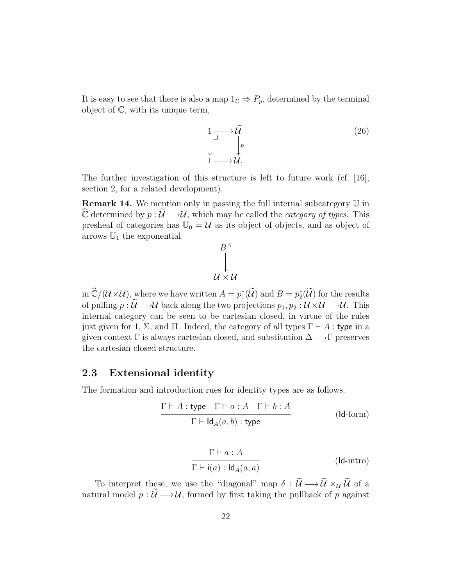It is easy to see that there is also a map  $1_{\mathbb{C}} \Rightarrow P_p$ , determined by the terminal object of C, with its unique term,



The further investigation of this structure is left to future work (cf.  $[16]$ , section 2, for a related development).

Remark 14. We mention only in passing the full internal subcategory U in  $\widehat{\mathbb{C}}$  determined by  $p : \widetilde{\mathcal{U}} \longrightarrow \mathcal{U}$ , which may be called the *category of types*. This presheaf of categories has  $\mathbb{U}_0 = \mathcal{U}$  as its object of objects, and as object of arrows  $\mathbb{U}_1$  the exponential

$$
B^A
$$
  
 
$$
\downarrow
$$
  
 
$$
u \times u
$$

in  $\widehat{\mathbb{C}}/(\mathcal{U}\times\mathcal{U})$ , where we have written  $A = p_1^*(\widetilde{\mathcal{U}})$  and  $B = p_2^*(\widetilde{\mathcal{U}})$  for the results of pulling  $p : \widetilde{\mathcal{U}} \longrightarrow \mathcal{U}$  back along the two projections  $p_1, p_2 : \mathcal{U} \times \mathcal{U} \longrightarrow \mathcal{U}$ . This internal category can be seen to be cartesian closed, in virtue of the rules just given for 1,  $\Sigma$ , and  $\Pi$ . Indeed, the category of all types  $\Gamma \vdash A$ : type in a given context  $\Gamma$  is always cartesian closed, and substitution  $\Delta \longrightarrow \Gamma$  preserves the cartesian closed structure.

#### 2.3 Extensional identity

The formation and introduction rues for identity types are as follows.

$$
\frac{\Gamma \vdash A : \text{type} \quad \Gamma \vdash a : A \quad \Gamma \vdash b : A}{\Gamma \vdash \text{Id}_A(a, b) : \text{type}} \qquad (\text{Id-form})
$$

$$
\frac{\Gamma \vdash a : A}{\Gamma \vdash \mathsf{i}(a) : \mathsf{Id}_A(a, a)} \qquad (\mathsf{Id}\text{-}\mathrm{intro})
$$

To interpret these, we use the "diagonal" map  $\delta : \widetilde{U} \longrightarrow \widetilde{U} \times_{\mathcal{U}} \widetilde{U}$  of a natural model  $p : \widetilde{\mathcal{U}} \longrightarrow \mathcal{U}$ , formed by first taking the pullback of p against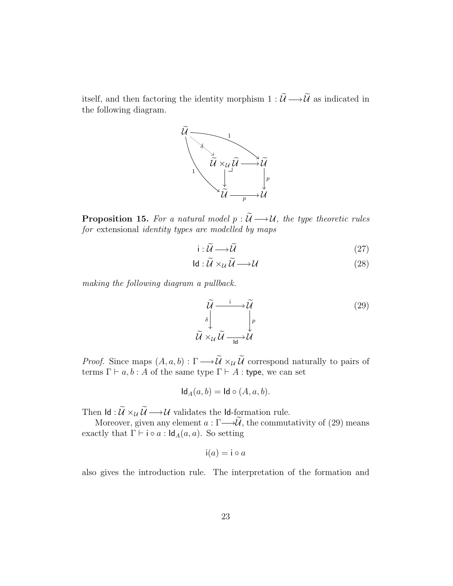itself, and then factoring the identity morphism  $1 : \widetilde{\mathcal{U}} \longrightarrow \widetilde{\mathcal{U}}$  as indicated in the following diagram.



**Proposition 15.** For a natural model  $p : \widetilde{\mathcal{U}} \longrightarrow \mathcal{U}$ , the type theoretic rules for extensional identity types are modelled by maps

$$
i: \widetilde{\mathcal{U}} \longrightarrow \widetilde{\mathcal{U}} \tag{27}
$$

$$
Id: \mathcal{U} \times_{\mathcal{U}} \mathcal{U} \longrightarrow \mathcal{U}
$$
 (28)

making the following diagram a pullback.

$$
\widetilde{\mathcal{U}} \xrightarrow{\qquad i \qquad \qquad i \qquad \qquad i \qquad \qquad (29)
$$
\n
$$
\widetilde{\mathcal{U}} \times_{\mathcal{U}} \widetilde{\mathcal{U}} \xrightarrow{\qquad \qquad \qquad i \qquad \qquad i \qquad \qquad (29)
$$

*Proof.* Since maps  $(A, a, b) : \Gamma \longrightarrow \widetilde{\mathcal{U}} \times_{\mathcal{U}} \widetilde{\mathcal{U}}$  correspond naturally to pairs of terms  $\Gamma \vdash a, b : A$  of the same type  $\Gamma \vdash A :$  type, we can set

$$
Id_A(a,b) = Id \circ (A,a,b).
$$

Then  $\mathsf{Id}:\widetilde{\mathcal{U}}\times_{\mathcal{U}}\widetilde{\mathcal{U}}\longrightarrow \mathcal{U}$  validates the  $\mathsf{Id}\text{-formation rule}.$ 

Moreover, given any element  $a : \Gamma \longrightarrow \widetilde{\mathcal{U}}$ , the commutativity of (29) means exactly that  $\Gamma \vdash i \circ a : \mathsf{Id}_A(a, a)$ . So setting

$$
i(a) = i \circ a
$$

also gives the introduction rule. The interpretation of the formation and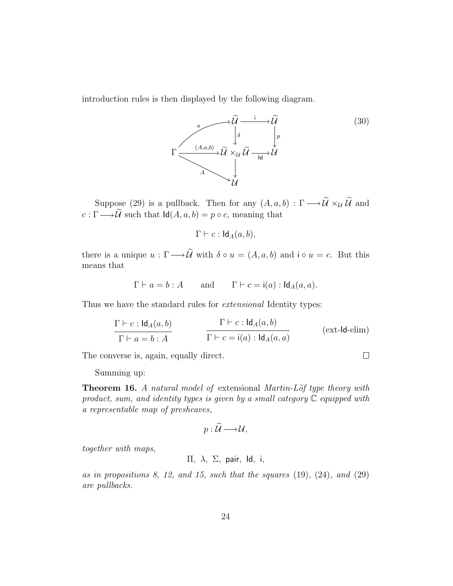introduction rules is then displayed by the following diagram.



Suppose (29) is a pullback. Then for any  $(A, a, b) : \Gamma \longrightarrow \widetilde{\mathcal{U}} \times_{\mathcal{U}} \widetilde{\mathcal{U}}$  and  $c : \Gamma \longrightarrow \widetilde{\mathcal{U}}$  such that  $\mathsf{Id}(A, a, b) = p \circ c$ , meaning that

$$
\Gamma \vdash c : \mathsf{Id}_A(a, b),
$$

there is a unique  $u : \Gamma \longrightarrow \widetilde{\mathcal{U}}$  with  $\delta \circ u = (A, a, b)$  and  $i \circ u = c$ . But this means that

$$
\Gamma \vdash a = b : A
$$
 and  $\Gamma \vdash c = i(a) : Id_A(a, a)$ .

Thus we have the standard rules for extensional Identity types:

$$
\frac{\Gamma \vdash c : \mathsf{Id}_{A}(a,b)}{\Gamma \vdash a = b : A} \qquad \qquad \frac{\Gamma \vdash c : \mathsf{Id}_{A}(a,b)}{\Gamma \vdash c = \mathsf{i}(a) : \mathsf{Id}_{A}(a,a)} \qquad \qquad (\text{ext-Id-elim})
$$

The converse is, again, equally direct.

 $\Box$ 

Summing up:

**Theorem 16.** A natural model of extensional Martin-Löf type theory with product, sum, and identity types is given by a small category  $\mathbb C$  equipped with a representable map of presheaves,

$$
p:\widetilde{\mathcal{U}}\longrightarrow \mathcal{U},
$$

together with maps,

Π, λ, Σ, pair, Id, i,

as in propositions 8, 12, and 15, such that the squares  $(19)$ ,  $(24)$ , and  $(29)$ are pullbacks.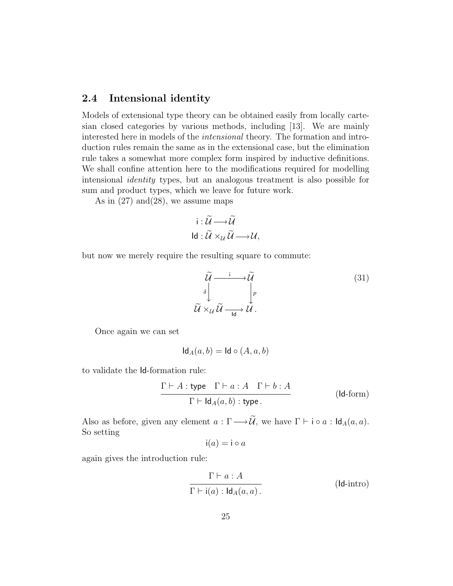#### 2.4 Intensional identity

Models of extensional type theory can be obtained easily from locally cartesian closed categories by various methods, including [13]. We are mainly interested here in models of the intensional theory. The formation and introduction rules remain the same as in the extensional case, but the elimination rule takes a somewhat more complex form inspired by inductive definitions. We shall confine attention here to the modifications required for modelling intensional identity types, but an analogous treatment is also possible for sum and product types, which we leave for future work.

As in  $(27)$  and  $(28)$ , we assume maps

$$
\mathsf{i}: \widetilde{\mathcal{U}} \longrightarrow \widetilde{\mathcal{U}}
$$
  

$$
\mathsf{Id}: \widetilde{\mathcal{U}} \times_{\mathcal{U}} \widetilde{\mathcal{U}} \longrightarrow \mathcal{U},
$$

but now we merely require the resulting square to commute:

$$
\widetilde{\mathcal{U}} \xrightarrow{\qquad i \qquad \qquad i \qquad \qquad \widetilde{\mathcal{U}}}
$$
\n
$$
\widetilde{\mathcal{U}} \times_{\mathcal{U}} \widetilde{\mathcal{U}} \xrightarrow[\text{Id}]{\qquad \qquad \qquad i \qquad \qquad \mathcal{U}}.
$$
\n
$$
(31)
$$

Once again we can set

$$
\mathsf{Id}_A(a,b) = \mathsf{Id} \circ (A,a,b)
$$

to validate the Id-formation rule:

$$
\frac{\Gamma \vdash A : \text{type} \quad \Gamma \vdash a : A \quad \Gamma \vdash b : A}{\Gamma \vdash \text{Id}_{A}(a, b) : \text{type}.}
$$
 (Id-form)

Also as before, given any element  $a : \Gamma \longrightarrow \widetilde{\mathcal{U}}$ , we have  $\Gamma \vdash \mathsf{i} \circ a : \mathsf{Id}_A(a, a)$ . So setting

$$
i(a) = i \circ a
$$

again gives the introduction rule:

$$
\frac{\Gamma \vdash a : A}{\Gamma \vdash \mathsf{i}(a) : \mathsf{Id}_A(a, a)}.
$$
 (Id-intro)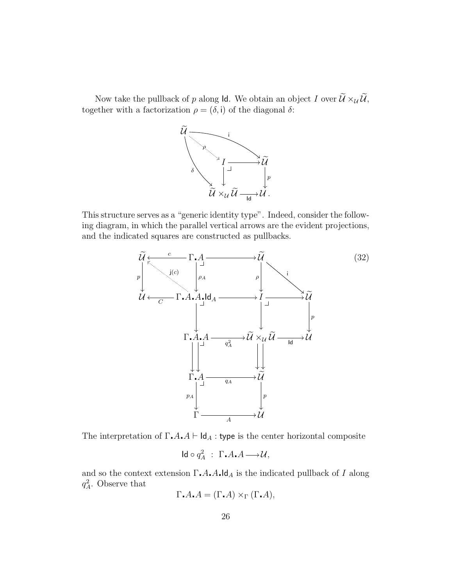Now take the pullback of p along Id. We obtain an object I over  $\widetilde{\mathcal{U}} \times_{\mathcal{U}} \widetilde{\mathcal{U}}$ , together with a factorization  $\rho = (\delta, i)$  of the diagonal  $\delta$ :



This structure serves as a "generic identity type". Indeed, consider the following diagram, in which the parallel vertical arrows are the evident projections, and the indicated squares are constructed as pullbacks.



The interpretation of  $\Gamma \cdot A \cdot A \vdash \mathsf{Id}_A$ : type is the center horizontal composite

$$
\mathsf{Id}\circ q^2_A\;:\; \Gamma_\bullet A_\bullet A {\longrightarrow} {\mathcal U},
$$

and so the context extension  $\Gamma \cdot A \cdot A \cdot \mathsf{Id}_A$  is the indicated pullback of I along  $q_A^2$ . Observe that

$$
\Gamma \cdot A \cdot A = (\Gamma \cdot A) \times_{\Gamma} (\Gamma \cdot A),
$$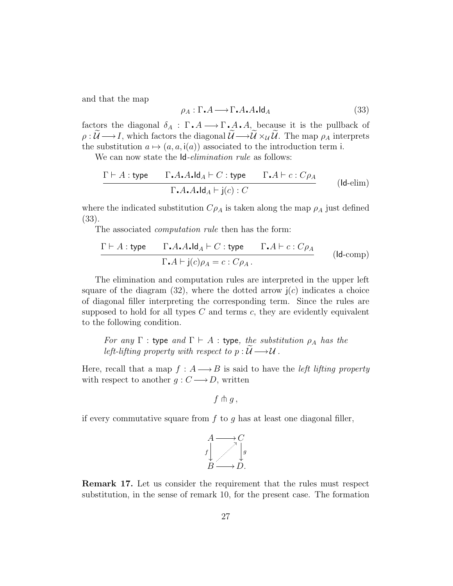and that the map

$$
\rho_A : \Gamma \cdot A \longrightarrow \Gamma \cdot A \cdot A \cdot \text{Id}_A \tag{33}
$$

factors the diagonal  $\delta_A : \Gamma \cdot A \longrightarrow \Gamma \cdot A \cdot A$ , because it is the pullback of  $\rho : \widetilde{U} \longrightarrow I$ , which factors the diagonal  $\widetilde{U} \longrightarrow \widetilde{U} \times_{\mathcal{U}} \widetilde{U}$ . The map  $\rho_A$  interprets the substitution  $a \mapsto (a, a, i(a))$  associated to the introduction term i.

We can now state the  $Id$ -*elimination rule* as follows:

$$
\frac{\Gamma \vdash A : \text{type} \qquad \Gamma \cdot A \cdot A \cdot \text{Id}_A \vdash C : \text{type} \qquad \Gamma \cdot A \vdash c : C \rho_A}{\Gamma \cdot A \cdot A \cdot \text{Id}_A \vdash j(c) : C}
$$
 (Id-elim)

where the indicated substitution  $C_{\rho_A}$  is taken along the map  $\rho_A$  just defined (33).

The associated *computation rule* then has the form:

$$
\frac{\Gamma \vdash A : \text{type} \qquad \Gamma \cdot A \cdot A \cdot \text{Id}_A \vdash C : \text{type} \qquad \Gamma \cdot A \vdash c : C \rho_A}{\Gamma \cdot A \vdash j(c) \rho_A = c : C \rho_A}. \qquad \qquad (\text{Id-comp})
$$

The elimination and computation rules are interpreted in the upper left square of the diagram  $(32)$ , where the dotted arrow  $j(c)$  indicates a choice of diagonal filler interpreting the corresponding term. Since the rules are supposed to hold for all types  $C$  and terms  $c$ , they are evidently equivalent to the following condition.

For any  $\Gamma$  : type and  $\Gamma \vdash A$  : type, the substitution  $\rho_A$  has the left-lifting property with respect to  $p : \mathcal{U} \longrightarrow \mathcal{U}$ .

Here, recall that a map  $f : A \longrightarrow B$  is said to have the *left lifting property* with respect to another  $g: C \longrightarrow D$ , written

$$
f\pitchfork g\,,
$$

if every commutative square from  $f$  to  $g$  has at least one diagonal filler,



Remark 17. Let us consider the requirement that the rules must respect substitution, in the sense of remark 10, for the present case. The formation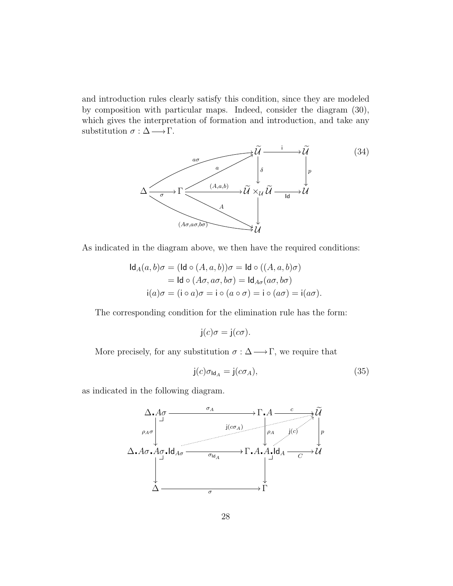and introduction rules clearly satisfy this condition, since they are modeled by composition with particular maps. Indeed, consider the diagram (30), which gives the interpretation of formation and introduction, and take any substitution  $\sigma : \Delta \longrightarrow \Gamma$ .



As indicated in the diagram above, we then have the required conditions:

$$
\mathsf{Id}_A(a,b)\sigma = (\mathsf{Id} \circ (A,a,b))\sigma = \mathsf{Id} \circ ((A,a,b)\sigma)
$$
  
=  $\mathsf{Id} \circ (A\sigma, a\sigma, b\sigma) = \mathsf{Id}_{A\sigma}(a\sigma, b\sigma)$   

$$
\mathsf{i}(a)\sigma = (\mathsf{i} \circ a)\sigma = \mathsf{i} \circ (a \circ \sigma) = \mathsf{i} \circ (a\sigma) = \mathsf{i}(a\sigma).
$$

The corresponding condition for the elimination rule has the form:

$$
j(c)\sigma = j(c\sigma).
$$

More precisely, for any substitution  $\sigma : \Delta \longrightarrow \Gamma$ , we require that

$$
j(c)\sigma_{\text{Id}_A} = j(c\sigma_A),\tag{35}
$$

as indicated in the following diagram.

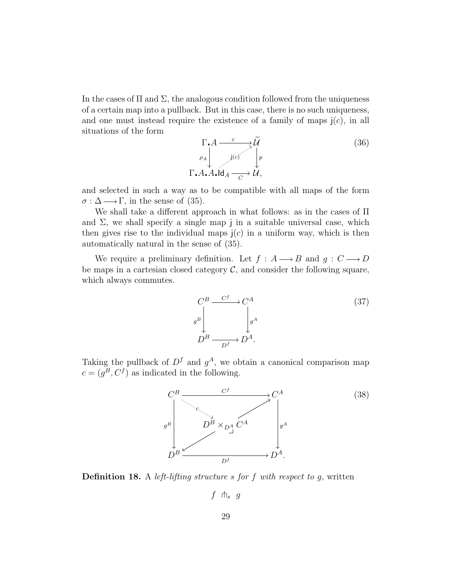In the cases of  $\Pi$  and  $\Sigma$ , the analogous condition followed from the uniqueness of a certain map into a pullback. But in this case, there is no such uniqueness, and one must instead require the existence of a family of maps  $j(c)$ , in all situations of the form

$$
\Gamma \cdot A \xrightarrow{\phantom{a}\phantom{a}\phantom{a}} \widetilde{\mathcal{U}} \qquad (36)
$$
\n
$$
\rho_A \downarrow^{\phantom{a}\phantom{a}\phantom{a}}_{\phantom{a}\phantom{a}\phantom{a}\phantom{a}}_{\phantom{a}\phantom{a}\phantom{a}\phantom{a}\phantom{a}}_{\phantom{a}\phantom{a}\phantom{a}\phantom{a}\phantom{a}}_{\phantom{a}\phantom{a}\phantom{a}\phantom{a}\phantom{a}}_{\phantom{a}\phantom{a}\phantom{a}\phantom{a}\phantom{a}}_{\phantom{a}\phantom{a}\phantom{a}\phantom{a}\phantom{a}}
$$

and selected in such a way as to be compatible with all maps of the form  $\sigma : \Delta \longrightarrow \Gamma$ , in the sense of (35).

We shall take a different approach in what follows: as in the cases of Π and  $\Sigma$ , we shall specify a single map j in a suitable universal case, which then gives rise to the individual maps  $(c)$  in a uniform way, which is then automatically natural in the sense of (35).

We require a preliminary definition. Let  $f : A \longrightarrow B$  and  $g : C \longrightarrow D$ be maps in a cartesian closed category  $\mathcal{C}$ , and consider the following square, which always commutes.

$$
C^{B} \xrightarrow{C^{f}} C^{A}
$$
\n
$$
D^{B} \xrightarrow{D^{f}} D^{A}.
$$
\n(37)

Taking the pullback of  $D<sup>f</sup>$  and  $g<sup>A</sup>$ , we obtain a canonical comparison map  $c = (g^B, C^f)$  as indicated in the following.



**Definition 18.** A *left-lifting structure s for f with respect to g, written* 

 $f \uparrow s$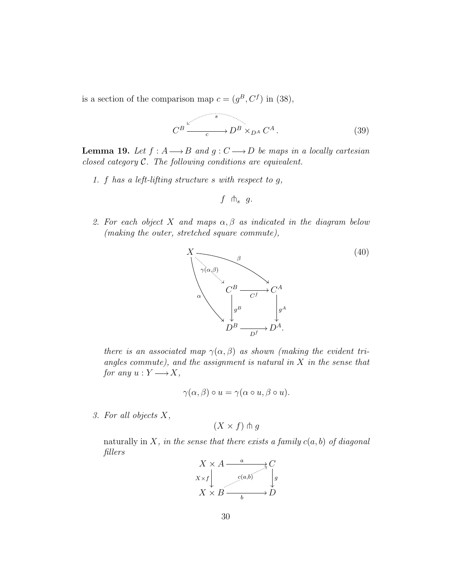is a section of the comparison map  $c = (g^B, C^f)$  in (38),

$$
C^B \xrightarrow{g} D^B \times_{D^A} C^A.
$$
 (39)

**Lemma 19.** Let  $f : A \longrightarrow B$  and  $g : C \longrightarrow D$  be maps in a locally cartesian closed category C. The following conditions are equivalent.

1. f has a left-lifting structure s with respect to g,

$$
f \uparrow_{s} g.
$$

2. For each object X and maps  $\alpha, \beta$  as indicated in the diagram below (making the outer, stretched square commute),



there is an associated map  $\gamma(\alpha, \beta)$  as shown (making the evident triangles commute), and the assignment is natural in  $X$  in the sense that for any  $u: Y \longrightarrow X$ ,

$$
\gamma(\alpha, \beta) \circ u = \gamma(\alpha \circ u, \beta \circ u).
$$

3. For all objects X,

$$
(X \times f) \pitchfork g
$$

naturally in X, in the sense that there exists a family  $c(a, b)$  of diagonal fillers

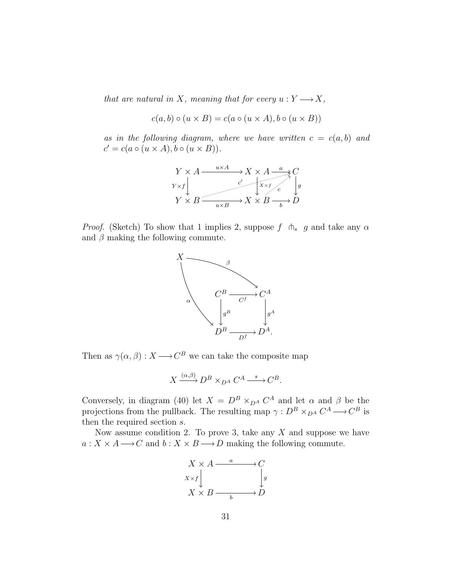that are natural in X, meaning that for every  $u: Y \longrightarrow X$ ,

$$
c(a, b) \circ (u \times B) = c(a \circ (u \times A), b \circ (u \times B))
$$

as in the following diagram, where we have written  $c = c(a, b)$  and  $c' = c(a \circ (u \times A), b \circ (u \times B)).$ 

$$
\begin{array}{ccc}\nY \times A \xrightarrow{u \times A} & X \times A \xrightarrow{a} C \\
Y \times f & & \downarrow \\
Y \times B \xrightarrow{c} & X \times B \xrightarrow{b} D\n\end{array}
$$

*Proof.* (Sketch) To show that 1 implies 2, suppose f  $\phi$  g and take any  $\alpha$ and  $\beta$  making the following commute.



Then as  $\gamma(\alpha, \beta) : X \longrightarrow C^B$  we can take the composite map

$$
X \xrightarrow{(\alpha,\beta)} D^B \times_{D^A} C^A \xrightarrow{s} C^B.
$$

Conversely, in diagram (40) let  $X = D^B \times_{D^A} C^A$  and let  $\alpha$  and  $\beta$  be the projections from the pullback. The resulting map  $\gamma: D^B \times_{D^A} C^A \longrightarrow C^B$  is then the required section s.

Now assume condition 2. To prove 3, take any  $X$  and suppose we have  $a: X \times A \longrightarrow C$  and  $b: X \times B \longrightarrow D$  making the following commute.

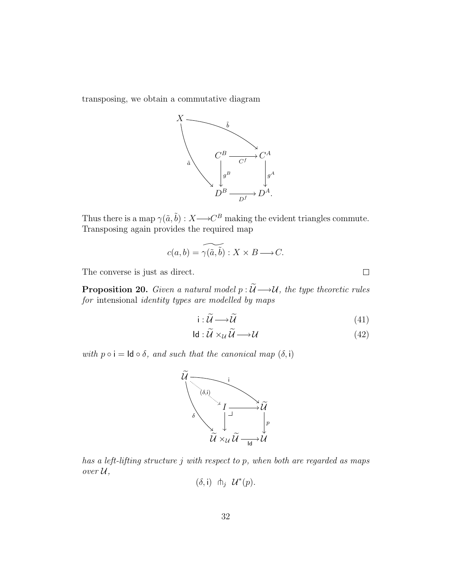transposing, we obtain a commutative diagram



Thus there is a map  $\gamma(\tilde{a}, \tilde{b}) : X \longrightarrow C^B$  making the evident triangles commute. Transposing again provides the required map

$$
c(a,b) = \widetilde{\gamma(a,b)} : X \times B \longrightarrow C.
$$

The converse is just as direct.

**Proposition 20.** Given a natural model  $p : \widetilde{\mathcal{U}} \longrightarrow \mathcal{U}$ , the type theoretic rules for intensional identity types are modelled by maps

$$
i: \widetilde{\mathcal{U}} \longrightarrow \widetilde{\mathcal{U}} \tag{41}
$$

 $\Box$ 

$$
Id: \mathcal{U} \times_{\mathcal{U}} \mathcal{U} \longrightarrow \mathcal{U} \tag{42}
$$

with  $p \circ i = \text{Id} \circ \delta$ , and such that the canonical map  $(\delta, i)$ 



has a left-lifting structure j with respect to p, when both are regarded as maps  $over U,$ 

$$
(\delta, \mathsf{i}) \ \ \pitchfork_j \ \mathcal{U}^*(p).
$$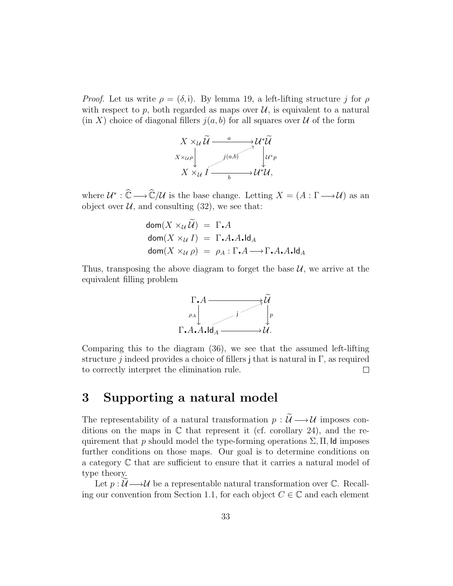*Proof.* Let us write  $\rho = (\delta, i)$ . By lemma 19, a left-lifting structure j for  $\rho$ with respect to p, both regarded as maps over  $\mathcal{U}$ , is equivalent to a natural  $(\text{in } X)$  choice of diagonal fillers  $j(a, b)$  for all squares over U of the form



where  $\mathcal{U}^* : \widehat{\mathbb{C}} \longrightarrow \widehat{\mathbb{C}}/\mathcal{U}$  is the base change. Letting  $X = (A : \Gamma \longrightarrow \mathcal{U})$  as an object over  $U$ , and consulting (32), we see that:

$$
dom(X \times_{\mathcal{U}} \widetilde{\mathcal{U}}) = \Gamma \cdot A
$$
  
dom(X \times\_{\mathcal{U}} I) = \Gamma \cdot A \cdot A \cdot Id\_A  
dom(X \times\_{\mathcal{U}} \rho) = \rho\_A : \Gamma \cdot A \longrightarrow \Gamma \cdot A \cdot A \cdot Id\_A

Thus, transposing the above diagram to forget the base  $\mathcal{U}$ , we arrive at the equivalent filling problem



Comparing this to the diagram (36), we see that the assumed left-lifting structure j indeed provides a choice of fillers j that is natural in  $\Gamma$ , as required to correctly interpret the elimination rule.  $\Box$ 

### 3 Supporting a natural model

The representability of a natural transformation  $p : \widetilde{\mathcal{U}} \longrightarrow \mathcal{U}$  imposes conditions on the maps in  $\mathbb C$  that represent it (cf. corollary 24), and the requirement that p should model the type-forming operations  $\Sigma$ ,  $\Pi$ , Id imposes further conditions on those maps. Our goal is to determine conditions on a category C that are sufficient to ensure that it carries a natural model of type theory.

Let  $p: U \longrightarrow U$  be a representable natural transformation over C. Recalling our convention from Section 1.1, for each object  $C \in \mathbb{C}$  and each element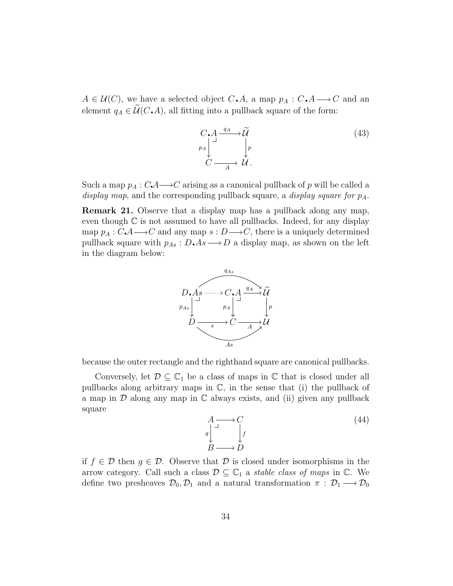$A \in \mathcal{U}(C)$ , we have a selected object  $C \cdot A$ , a map  $p_A : C \cdot A \longrightarrow C$  and an element  $q_A \in \widetilde{\mathcal{U}}(C\cdot A)$ , all fitting into a pullback square of the form:

$$
C \cdot A \xrightarrow{q_A} \widetilde{\mathcal{U}} \qquad (43)
$$
\n
$$
\overset{p_A}{\underset{C}{\bigcup}} \xrightarrow{d} \mathcal{U} \qquad (44)
$$

Such a map  $p_A : C \mathcal{A} \longrightarrow C$  arising as a canonical pullback of p will be called a display map, and the corresponding pullback square, a display square for  $p_A$ .

Remark 21. Observe that a display map has a pullback along any map, even though  $\mathbb C$  is not assumed to have all pullbacks. Indeed, for any display map  $p_A : C \rightarrow C$  and any map  $s : D \rightarrow C$ , there is a uniquely determined pullback square with  $p_{As}: D \triangle A s \longrightarrow D$  a display map, as shown on the left in the diagram below:



because the outer rectangle and the righthand square are canonical pullbacks.

Conversely, let  $\mathcal{D} \subseteq \mathbb{C}_1$  be a class of maps in  $\mathbb C$  that is closed under all pullbacks along arbitrary maps in  $\mathbb{C}$ , in the sense that (i) the pullback of a map in  $D$  along any map in  $C$  always exists, and (ii) given any pullback square

$$
A \longrightarrow C
$$
  
\n
$$
g \downarrow J
$$
  
\n
$$
B \longrightarrow D
$$
\n(44)

if  $f \in \mathcal{D}$  then  $g \in \mathcal{D}$ . Observe that  $\mathcal D$  is closed under isomorphisms in the arrow category. Call such a class  $\mathcal{D} \subseteq \mathbb{C}_1$  a stable class of maps in  $\mathbb{C}$ . We define two presheaves  $\mathcal{D}_0$ ,  $\mathcal{D}_1$  and a natural transformation  $\pi$ :  $\mathcal{D}_1 \longrightarrow \mathcal{D}_0$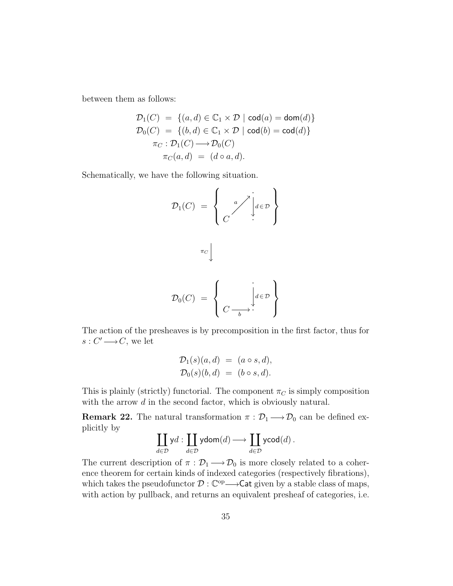between them as follows:

$$
\mathcal{D}_1(C) = \{(a, d) \in \mathbb{C}_1 \times \mathcal{D} \mid \mathsf{cod}(a) = \mathsf{dom}(d)\}
$$

$$
\mathcal{D}_0(C) = \{(b, d) \in \mathbb{C}_1 \times \mathcal{D} \mid \mathsf{cod}(b) = \mathsf{cod}(d)\}
$$

$$
\pi_C : \mathcal{D}_1(C) \longrightarrow \mathcal{D}_0(C)
$$

$$
\pi_C(a, d) = (d \circ a, d).
$$

Schematically, we have the following situation.

$$
\mathcal{D}_1(C) = \left\{ \begin{array}{c} a \nearrow \vdots \\ C \end{array} \middle| \begin{array}{c} a \in \mathcal{D} \\ d \in \mathcal{D} \end{array} \right\}
$$

$$
\mathcal{D}_0(C) = \left\{ \begin{array}{c} \vdots \\ C \xrightarrow{b} \end{array} \middle| \begin{array}{c} \vdots \\ d \in \mathcal{D} \end{array} \right\}
$$

The action of the presheaves is by precomposition in the first factor, thus for  $s: C' \longrightarrow C$ , we let

$$
\mathcal{D}_1(s)(a,d) = (a \circ s, d), \mathcal{D}_0(s)(b,d) = (b \circ s, d).
$$

This is plainly (strictly) functorial. The component  $\pi_C$  is simply composition with the arrow d in the second factor, which is obviously natural.

**Remark 22.** The natural transformation  $\pi : \mathcal{D}_1 \longrightarrow \mathcal{D}_0$  can be defined explicitly by

$$
\coprod_{d \in \mathcal{D}} yd : \coprod_{d \in \mathcal{D}} y\text{dom}(d) \longrightarrow \coprod_{d \in \mathcal{D}} y\text{cod}(d) .
$$

The current description of  $\pi : \mathcal{D}_1 \longrightarrow \mathcal{D}_0$  is more closely related to a coherence theorem for certain kinds of indexed categories (respectively fibrations), which takes the pseudofunctor  $\mathcal{D} : \mathbb{C}^{op} \longrightarrow$  Cat given by a stable class of maps, with action by pullback, and returns an equivalent presheaf of categories, i.e.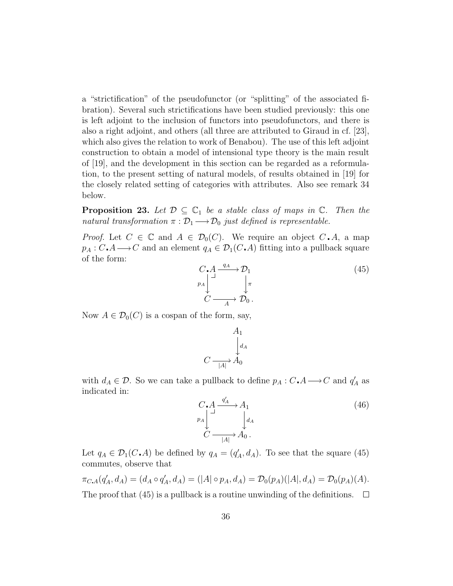a "strictification" of the pseudofunctor (or "splitting" of the associated fibration). Several such strictifications have been studied previously: this one is left adjoint to the inclusion of functors into pseudofunctors, and there is also a right adjoint, and others (all three are attributed to Giraud in cf. [23], which also gives the relation to work of Benabou). The use of this left adjoint construction to obtain a model of intensional type theory is the main result of [19], and the development in this section can be regarded as a reformulation, to the present setting of natural models, of results obtained in [19] for the closely related setting of categories with attributes. Also see remark 34 below.

**Proposition 23.** Let  $\mathcal{D} \subseteq \mathbb{C}_1$  be a stable class of maps in  $\mathbb{C}$ . Then the natural transformation  $\pi : \mathcal{D}_1 \longrightarrow \mathcal{D}_0$  just defined is representable.

*Proof.* Let  $C \in \mathbb{C}$  and  $A \in \mathcal{D}_0(C)$ . We require an object  $C \cdot A$ , a map  $p_A : C \text{.} A \longrightarrow C$  and an element  $q_A \in \mathcal{D}_1(C \text{.} A)$  fitting into a pullback square of the form:

$$
C \n A \n \xrightarrow{q_A} \mathcal{D}_1\n \downarrow \n \uparrow \n C \n \xrightarrow{q_A} \mathcal{D}_0.
$$
\n
$$
(45)
$$

Now  $A \in \mathcal{D}_0(C)$  is a cospan of the form, say,

$$
A_1
$$
  
\n
$$
C \xrightarrow[|A|]{} A_0
$$

with  $d_A \in \mathcal{D}$ . So we can take a pullback to define  $p_A : C \cdot A \longrightarrow C$  and  $q'_A$  as indicated in:

$$
C \cdot A \xrightarrow{\ q'_A} A_1
$$
  
\n $p_A$ \n $\downarrow d_A$   
\n $C \xrightarrow{\qquad |A|} A_0$ .  
\n(46)

Let  $q_A \in \mathcal{D}_1(C \cdot A)$  be defined by  $q_A = (q'_A, d_A)$ . To see that the square (45) commutes, observe that

$$
\pi_{C,A}(q'_A, d_A) = (d_A \circ q'_A, d_A) = (|A| \circ p_A, d_A) = \mathcal{D}_0(p_A)(|A|, d_A) = \mathcal{D}_0(p_A)(A).
$$
  
The proof that (45) is a pullback is a routine unwinding of the definitions.  $\square$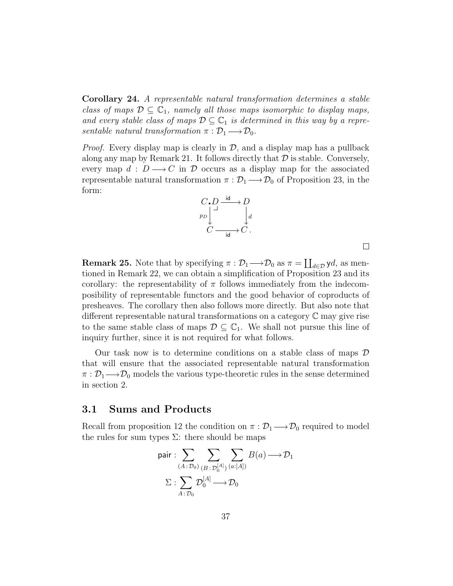Corollary 24. A representable natural transformation determines a stable class of maps  $\mathcal{D} \subseteq \mathbb{C}_1$ , namely all those maps isomorphic to display maps, and every stable class of maps  $\mathcal{D} \subseteq \mathbb{C}_1$  is determined in this way by a representable natural transformation  $\pi : \mathcal{D}_1 \longrightarrow \mathcal{D}_0$ .

*Proof.* Every display map is clearly in  $\mathcal{D}$ , and a display map has a pullback along any map by Remark 21. It follows directly that  $\mathcal D$  is stable. Conversely, every map  $d : D \longrightarrow C$  in  $\mathcal D$  occurs as a display map for the associated representable natural transformation  $\pi : \mathcal{D}_1 \longrightarrow \mathcal{D}_0$  of Proposition 23, in the form:



 $\Box$ 

**Remark 25.** Note that by specifying  $\pi : \mathcal{D}_1 \longrightarrow \mathcal{D}_0$  as  $\pi = \coprod_{d \in \mathcal{D}} \mathsf{y}d$ , as mentioned in Remark 22, we can obtain a simplification of Proposition 23 and its corollary: the representability of  $\pi$  follows immediately from the indecomposibility of representable functors and the good behavior of coproducts of presheaves. The corollary then also follows more directly. But also note that different representable natural transformations on a category C may give rise to the same stable class of maps  $\mathcal{D} \subseteq \mathbb{C}_1$ . We shall not pursue this line of inquiry further, since it is not required for what follows.

Our task now is to determine conditions on a stable class of maps  $\mathcal D$ that will ensure that the associated representable natural transformation  $\pi : \mathcal{D}_1 \longrightarrow \mathcal{D}_0$  models the various type-theoretic rules in the sense determined in section 2.

#### 3.1 Sums and Products

Recall from proposition 12 the condition on  $\pi : \mathcal{D}_1 \longrightarrow \mathcal{D}_0$  required to model the rules for sum types  $\Sigma$ : there should be maps

pair: 
$$
\sum_{(A : \mathcal{D}_0)} \sum_{(B : \mathcal{D}_0^{[A]})} \sum_{(a : [A])} B(a) \longrightarrow \mathcal{D}_1
$$

$$
\Sigma : \sum_{A : \mathcal{D}_0} \mathcal{D}_0^{[A]} \longrightarrow \mathcal{D}_0
$$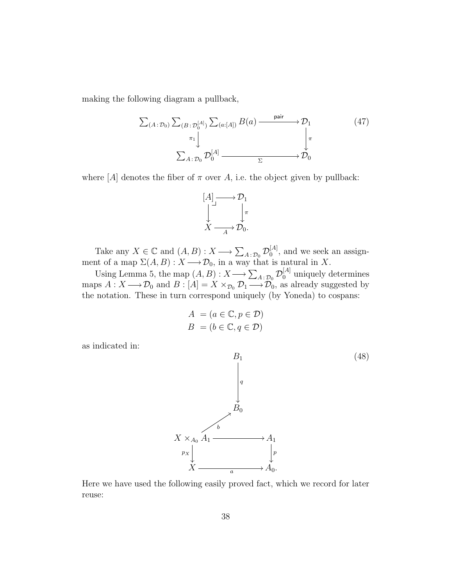making the following diagram a pullback,

$$
\sum_{(A:\mathcal{D}_0)} \sum_{(B:\mathcal{D}_0^{[A]})} \sum_{(a:[A])} B(a) \xrightarrow{\text{pair}} \mathcal{D}_1
$$
\n
$$
\downarrow^{\pi_1} \downarrow^{\pi_2} \downarrow^{\pi_3}
$$
\n
$$
\sum_{A:\mathcal{D}_0} \mathcal{D}_0^{[A]} \xrightarrow{\Sigma} \mathcal{D}_0
$$
\n
$$
(47)
$$

where  $[A]$  denotes the fiber of  $\pi$  over A, i.e. the object given by pullback:



Take any  $X \in \mathbb{C}$  and  $(A, B) : X \longrightarrow \sum_{A \in \mathcal{D}_0} \mathcal{D}_0^{[A]}$  $_0^{[A]}$ , and we seek an assignment of a map  $\Sigma(A, B) : X \longrightarrow \mathcal{D}_0$ , in a way that is natural in X.

Using Lemma 5, the map  $(A, B) : X \longrightarrow \sum_{A \colon \mathcal{D}_0} \mathcal{D}_0^{[A]}$  uniquely determines maps  $A: X \longrightarrow \mathcal{D}_0$  and  $B: [A] = X \times_{\mathcal{D}_0} \mathcal{D}_1 \longrightarrow \mathcal{D}_0$ , as already suggested by the notation. These in turn correspond uniquely (by Yoneda) to cospans:

$$
A = (a \in \mathbb{C}, p \in \mathcal{D})
$$
  

$$
B = (b \in \mathbb{C}, q \in \mathcal{D})
$$

as indicated in:



Here we have used the following easily proved fact, which we record for later reuse: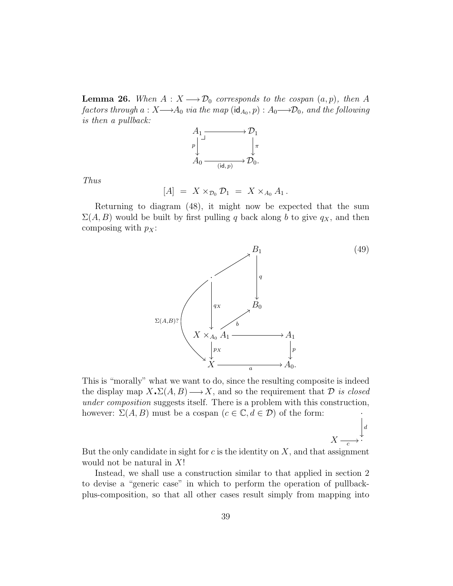**Lemma 26.** When  $A: X \longrightarrow \mathcal{D}_0$  corresponds to the cospan  $(a, p)$ , then A factors through  $a: X{\longrightarrow} A_0$  via the map  $(\mathsf{id}_{A_0},p): A_0{\longrightarrow} \mathcal{D}_0,$  and the following is then a pullback:



Thus

$$
[A] = X \times_{\mathcal{D}_0} \mathcal{D}_1 = X \times_{A_0} A_1.
$$

Returning to diagram (48), it might now be expected that the sum  $\Sigma(A, B)$  would be built by first pulling q back along b to give  $q_X$ , and then composing with  $p_X$ :



d  $\vdash$ 

·

 $X$  -

This is "morally" what we want to do, since the resulting composite is indeed the display map  $X \cdot \Sigma(A, B) \longrightarrow X$ , and so the requirement that  $D$  is closed under composition suggests itself. There is a problem with this construction, however:  $\Sigma(A, B)$  must be a cospan  $(c \in \mathbb{C}, d \in \mathcal{D})$  of the form:

But the only candidate in sight for  $c$  is the identity on  $X$ , and that assignment would not be natural in X!

Instead, we shall use a construction similar to that applied in section 2 to devise a "generic case" in which to perform the operation of pullbackplus-composition, so that all other cases result simply from mapping into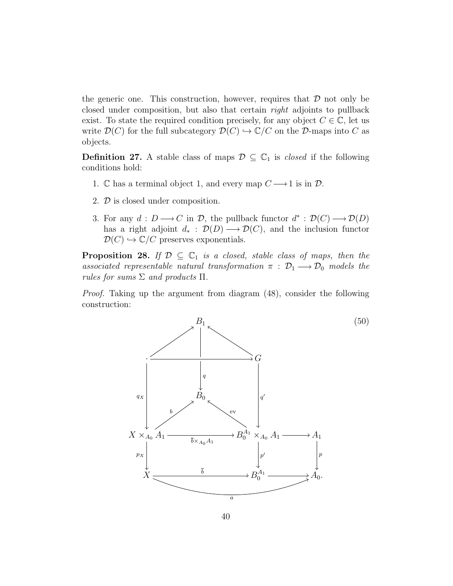the generic one. This construction, however, requires that  $\mathcal D$  not only be closed under composition, but also that certain right adjoints to pullback exist. To state the required condition precisely, for any object  $C \in \mathbb{C}$ , let us write  $\mathcal{D}(C)$  for the full subcategory  $\mathcal{D}(C) \hookrightarrow \mathbb{C}/C$  on the D-maps into C as objects.

**Definition 27.** A stable class of maps  $\mathcal{D} \subseteq \mathbb{C}_1$  is *closed* if the following conditions hold:

- 1. C has a terminal object 1, and every map  $C \longrightarrow 1$  is in  $D$ .
- 2. D is closed under composition.
- 3. For any  $d: D \longrightarrow C$  in  $\mathcal{D}$ , the pullback functor  $d^*: \mathcal{D}(C) \longrightarrow \mathcal{D}(D)$ has a right adjoint  $d_*$ :  $\mathcal{D}(D) \longrightarrow \mathcal{D}(C)$ , and the inclusion functor  $\mathcal{D}(C) \hookrightarrow \mathbb{C}/C$  preserves exponentials.

**Proposition 28.** If  $\mathcal{D} \subseteq \mathbb{C}_1$  is a closed, stable class of maps, then the associated representable natural transformation  $\pi$  :  $\mathcal{D}_1 \longrightarrow \mathcal{D}_0$  models the rules for sums  $\Sigma$  and products  $\Pi$ .

Proof. Taking up the argument from diagram (48), consider the following construction:

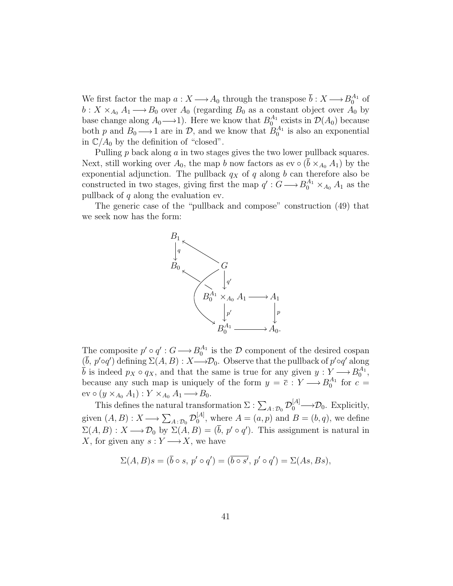We first factor the map  $a: X \longrightarrow A_0$  through the transpose  $\bar{b}: X \longrightarrow B_0^{A_1}$  of  $b: X \times_{A_0} A_1 \longrightarrow B_0$  over  $A_0$  (regarding  $B_0$  as a constant object over  $A_0$  by base change along  $A_0 \longrightarrow 1$ ). Here we know that  $B_0^{A_1}$  exists in  $\mathcal{D}(A_0)$  because both p and  $B_0 \longrightarrow 1$  are in  $\mathcal{D}$ , and we know that  $B_0^{A_1}$  is also an exponential in  $\mathbb{C}/A_0$  by the definition of "closed".

Pulling p back along a in two stages gives the two lower pullback squares. Next, still working over  $A_0$ , the map b now factors as ev  $\circ$  ( $\bar{b} \times_{A_0} A_1$ ) by the exponential adjunction. The pullback  $q_X$  of q along b can therefore also be constructed in two stages, giving first the map  $q': G \longrightarrow B_0^{A_1} \times_{A_0} A_1$  as the pullback of  $q$  along the evaluation ev.

The generic case of the "pullback and compose" construction (49) that we seek now has the form:



The composite  $p' \circ q' : G \longrightarrow B_0^{A_1}$  is the D component of the desired cospan  $(\bar{b}, p' \circ q')$  defining  $\Sigma(A, B) : X \longrightarrow \mathcal{D}_0$ . Observe that the pullback of  $p' \circ q'$  along  $\overline{b}$  is indeed  $p_X \circ q_X$ , and that the same is true for any given  $y: Y \longrightarrow B_0^{A_1}$ , because any such map is uniquely of the form  $y = \overline{c} : Y \longrightarrow B_0^{A_1}$  for  $c =$  $ev \circ (y \times_{A_0} A_1) : Y \times_{A_0} A_1 \longrightarrow B_0.$ 

This defines the natural transformation  $\Sigma: \sum_{A \,:\, \mathcal{D}_0} \mathcal{D}_0^{[A]}$  $\downarrow[A] \longrightarrow \mathcal{D}_0$ . Explicitly, given  $(A, B) : X \longrightarrow \sum_{A \colon \mathcal{D}_0} \mathcal{D}_0^{[A]}$  $\mathcal{A}^{[A]}_0$ , where  $A = (a, p)$  and  $B = (b, q)$ , we define  $\Sigma(A, B) : X \longrightarrow \mathcal{D}_0$  by  $\Sigma(A, B) = (\bar{b}, p' \circ q')$ . This assignment is natural in X, for given any  $s: Y \longrightarrow X$ , we have

$$
\Sigma(A, B)s = (\overline{b} \circ s, p' \circ q') = (\overline{b \circ s'}, p' \circ q') = \Sigma(As, Bs),
$$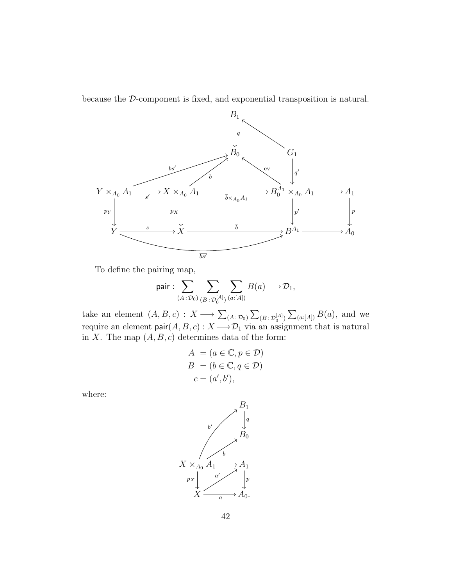because the D-component is fixed, and exponential transposition is natural.



To define the pairing map,

$$
\text{pair}: \sum_{(A:\mathcal{D}_0)} \sum_{(B:\mathcal{D}_0^{[A]})} \sum_{(a:[A])} B(a) \longrightarrow \mathcal{D}_1,
$$

take an element  $(A, B, c) : X \longrightarrow \sum_{(A \,:\, \mathcal{D}_0)} \sum_{(B \,:\, \mathcal{D}_0^{[A]})} \sum_{(a:[A])} B(a)$ , and we require an element  $\mathsf{pair}(A, B, c) : X \longrightarrow \mathcal{D}_1$  via an assignment that is natural in X. The map  $(A, B, c)$  determines data of the form:

$$
A = (a \in \mathbb{C}, p \in \mathcal{D})
$$
  
\n
$$
B = (b \in \mathbb{C}, q \in \mathcal{D})
$$
  
\n
$$
c = (a', b'),
$$

where:

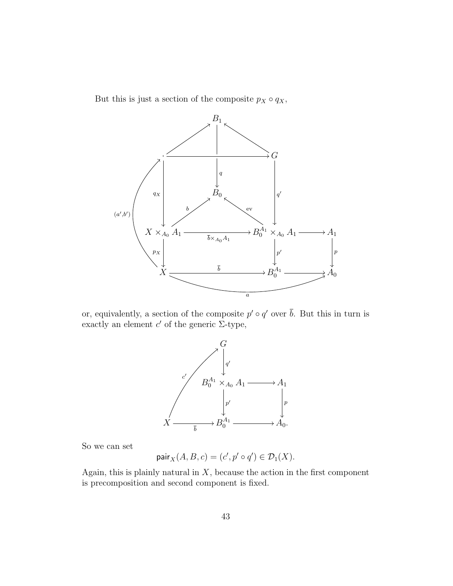But this is just a section of the composite  $p_X \circ q_X$ ,



or, equivalently, a section of the composite  $p' \circ q'$  over  $\bar{b}$ . But this in turn is exactly an element  $c'$  of the generic  $\Sigma$ -type,



So we can set

$$
\text{pair}_X(A, B, c) = (c', p' \circ q') \in \mathcal{D}_1(X).
$$

Again, this is plainly natural in  $X$ , because the action in the first component is precomposition and second component is fixed.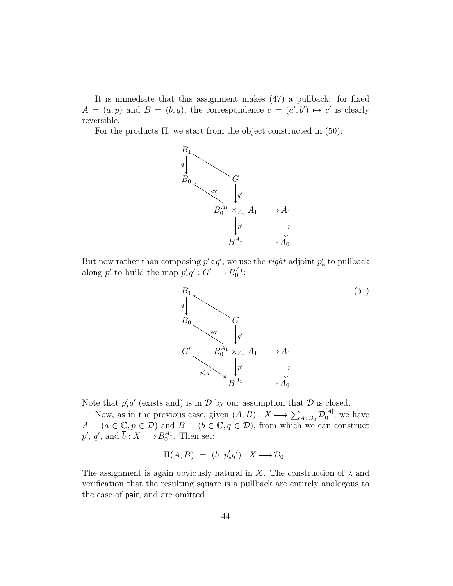It is immediate that this assignment makes (47) a pullback: for fixed  $A = (a, p)$  and  $B = (b, q)$ , the correspondence  $c = (a', b') \mapsto c'$  is clearly reversible.

For the products  $\Pi$ , we start from the object constructed in (50):



But now rather than composing  $p' \circ q'$ , we use the *right* adjoint  $p'_*$  to pullback along p' to build the map  $p'_*q': G' \longrightarrow B_0^{A_1}:$ 



Note that  $p'_*q'$  (exists and) is in  $\mathcal D$  by our assumption that  $\mathcal D$  is closed. ∗

Now, as in the previous case, given  $(A, B) : X \longrightarrow \sum_{A \,:\, \mathcal{D}_0} \mathcal{D}_0^{[A]}$  $_0^{[A]}$ , we have  $A = (a \in \mathbb{C}, p \in \mathcal{D})$  and  $B = (b \in \mathbb{C}, q \in \mathcal{D})$ , from which we can construct  $p', q', \text{ and } \bar{b}: X \longrightarrow B_0^{A_1}. \text{ Then set:}$ 

$$
\Pi(A,B) = (\overline{b}, p'_*q') : X \longrightarrow \mathcal{D}_0.
$$

The assignment is again obviously natural in X. The construction of  $\lambda$  and verification that the resulting square is a pullback are entirely analogous to the case of pair, and are omitted.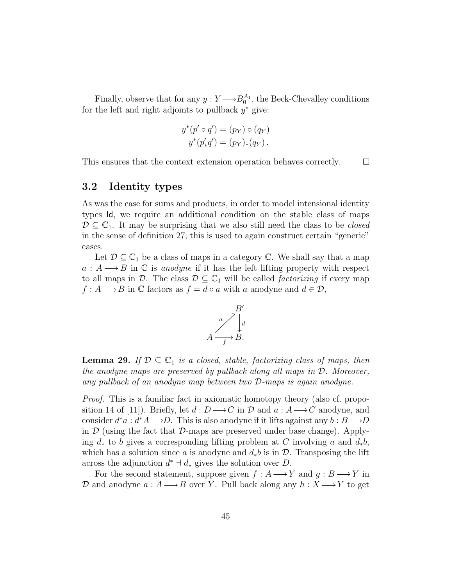Finally, observe that for any  $y: Y \longrightarrow B_0^{A_1}$ , the Beck-Chevalley conditions for the left and right adjoints to pullback  $y^*$  give:

$$
y^*(p' \circ q') = (p_Y) \circ (q_Y)
$$
  

$$
y^*(p'_*q') = (p_Y)_*(q_Y).
$$

 $\Box$ 

This ensures that the context extension operation behaves correctly.

#### 3.2 Identity types

As was the case for sums and products, in order to model intensional identity types Id, we require an additional condition on the stable class of maps  $\mathcal{D} \subseteq \mathbb{C}_1$ . It may be surprising that we also still need the class to be *closed* in the sense of definition 27; this is used to again construct certain "generic" cases.

Let  $\mathcal{D} \subseteq \mathbb{C}_1$  be a class of maps in a category  $\mathbb{C}$ . We shall say that a map  $a : A \longrightarrow B$  in C is anodyne if it has the left lifting property with respect to all maps in D. The class  $D \subseteq \mathbb{C}_1$  will be called *factorizing* if every map  $f : A \longrightarrow B$  in  $\mathbb C$  factors as  $f = d \circ a$  with a anodyne and  $d \in \mathcal D$ ,



**Lemma 29.** If  $\mathcal{D} \subseteq \mathbb{C}_1$  is a closed, stable, factorizing class of maps, then the anodyne maps are preserved by pullback along all maps in D. Moreover, any pullback of an anodyne map between two D-maps is again anodyne.

Proof. This is a familiar fact in axiomatic homotopy theory (also cf. proposition 14 of [11]). Briefly, let  $d : D \longrightarrow C$  in  $D$  and  $a : A \longrightarrow C$  anodyne, and consider  $d^*a : d^*A \longrightarrow D$ . This is also anodyne if it lifts against any  $b : B \longrightarrow D$ in  $\mathcal D$  (using the fact that  $\mathcal D$ -maps are preserved under base change). Applying  $d_*$  to b gives a corresponding lifting problem at C involving a and  $d_*b$ , which has a solution since a is anodyne and  $d_*b$  is in  $\mathcal{D}$ . Transposing the lift across the adjunction  $d^* \dashv d_*$  gives the solution over D.

For the second statement, suppose given  $f : A \longrightarrow Y$  and  $g : B \longrightarrow Y$  in D and anodyne  $a : A \longrightarrow B$  over Y. Pull back along any  $h : X \longrightarrow Y$  to get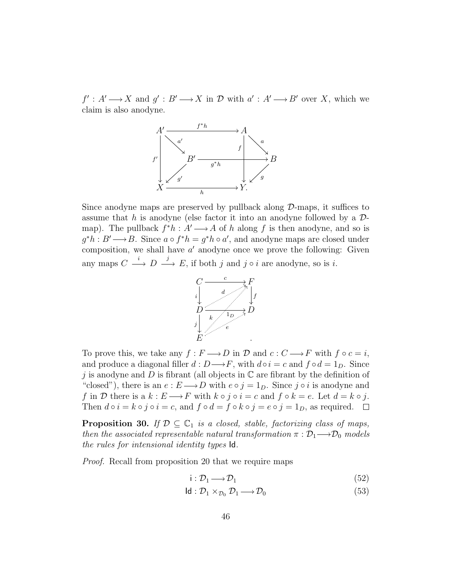$f': A' \longrightarrow X$  and  $g': B' \longrightarrow X$  in  $D$  with  $a': A' \longrightarrow B'$  over X, which we claim is also anodyne.



Since anodyne maps are preserved by pullback along  $D$ -maps, it suffices to assume that h is anodyne (else factor it into an anodyne followed by a  $\mathcal{D}$ map). The pullback  $f^*h : A' \longrightarrow A$  of h along f is then anodyne, and so is  $g^*h : B' \longrightarrow B$ . Since  $a \circ f^*h = g^*h \circ a'$ , and anodyne maps are closed under composition, we shall have  $a'$  anodyne once we prove the following: Given any maps  $C \stackrel{i}{\longrightarrow} D \stackrel{j}{\longrightarrow} E$ , if both j and j  $\circ i$  are anodyne, so is i.



To prove this, we take any  $f : F \longrightarrow D$  in  $D$  and  $c : C \longrightarrow F$  with  $f \circ c = i$ , and produce a diagonal filler  $d : D \longrightarrow F$ , with  $d \circ i = c$  and  $f \circ d = 1_D$ . Since j is anodyne and D is fibrant (all objects in  $\mathbb C$  are fibrant by the definition of "closed"), there is an  $e : E \longrightarrow D$  with  $e \circ j = 1_D$ . Since j ∘ *i* is anodyne and f in D there is a  $k : E \longrightarrow F$  with  $k \circ j \circ i = c$  and  $f \circ k = e$ . Let  $d = k \circ j$ . Then  $d \circ i = k \circ j \circ i = c$ , and  $f \circ d = f \circ k \circ j = e \circ j = 1_D$ , as required.  $\Box$ 

**Proposition 30.** If  $\mathcal{D} \subseteq \mathbb{C}_1$  is a closed, stable, factorizing class of maps, then the associated representable natural transformation  $\pi : \mathcal{D}_1 \longrightarrow \mathcal{D}_0$  models the rules for intensional identity types Id.

Proof. Recall from proposition 20 that we require maps

$$
i: \mathcal{D}_1 \longrightarrow \mathcal{D}_1 \tag{52}
$$

$$
\mathsf{Id}: \mathcal{D}_1 \times_{\mathcal{D}_0} \mathcal{D}_1 \longrightarrow \mathcal{D}_0 \tag{53}
$$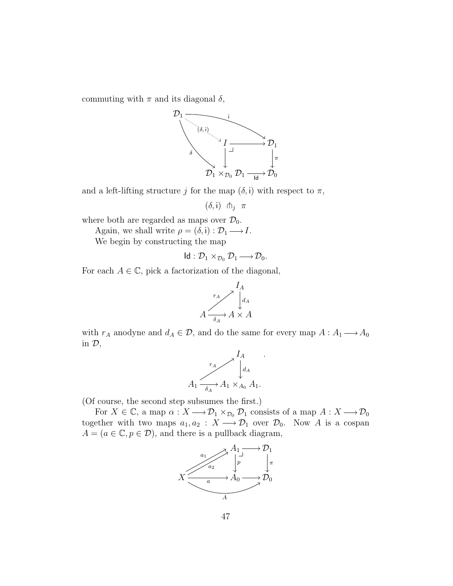commuting with  $\pi$  and its diagonal  $\delta$ ,



and a left-lifting structure j for the map  $(\delta, i)$  with respect to  $\pi$ ,

$$
(\delta, \mathsf{i}) \ \pitchfork_j \ \pi
$$

where both are regarded as maps over  $\mathcal{D}_0$ .

Again, we shall write  $\rho = (\delta, \mathbf{i}) : \mathcal{D}_1 \longrightarrow I$ .

We begin by constructing the map

$$
Id: \mathcal{D}_1 \times_{\mathcal{D}_0} \mathcal{D}_1 \longrightarrow \mathcal{D}_0.
$$

For each  $A \in \mathbb{C}$ , pick a factorization of the diagonal,



with  $r_A$  anodyne and  $d_A \in \mathcal{D}$ , and do the same for every map  $A: A_1 \longrightarrow A_0$ in D,



(Of course, the second step subsumes the first.)

For  $X \in \mathbb{C}$ , a map  $\alpha: X \longrightarrow \mathcal{D}_1 \times_{\mathcal{D}_0} \mathcal{D}_1$  consists of a map  $A: X \longrightarrow \mathcal{D}_0$ together with two maps  $a_1, a_2 : X \longrightarrow \mathcal{D}_1$  over  $\mathcal{D}_0$ . Now A is a cospan  $A = (a \in \mathbb{C}, p \in \mathcal{D})$ , and there is a pullback diagram,

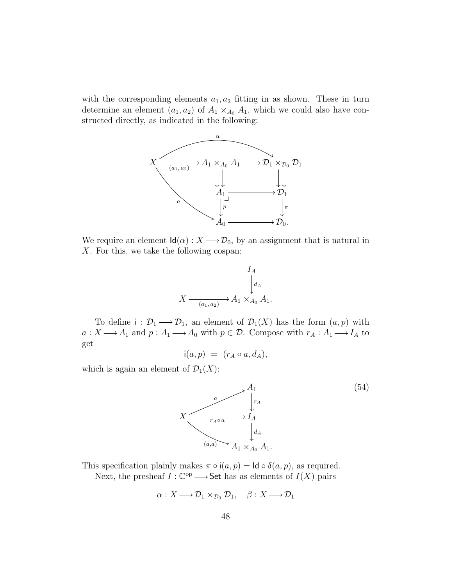with the corresponding elements  $a_1, a_2$  fitting in as shown. These in turn determine an element  $(a_1, a_2)$  of  $A_1 \times_{A_0} A_1$ , which we could also have constructed directly, as indicated in the following:



We require an element  $\mathsf{Id}(\alpha): X \longrightarrow \mathcal{D}_0$ , by an assignment that is natural in X. For this, we take the following cospan:



To define  $i: \mathcal{D}_1 \longrightarrow \mathcal{D}_1$ , an element of  $\mathcal{D}_1(X)$  has the form  $(a, p)$  with  $a: X \longrightarrow A_1$  and  $p: A_1 \longrightarrow A_0$  with  $p \in \mathcal{D}$ . Compose with  $r_A: A_1 \longrightarrow I_A$  to get

$$
i(a,p) = (r_A \circ a, d_A),
$$

which is again an element of  $\mathcal{D}_1(X)$ :



This specification plainly makes  $\pi \circ i(a, p) = \text{Id} \circ \delta(a, p)$ , as required. Next, the presheaf  $I : \mathbb{C}^{op} \longrightarrow$  Set has as elements of  $I(X)$  pairs

$$
\alpha: X \longrightarrow \mathcal{D}_1 \times_{\mathcal{D}_0} \mathcal{D}_1, \quad \beta: X \longrightarrow \mathcal{D}_1
$$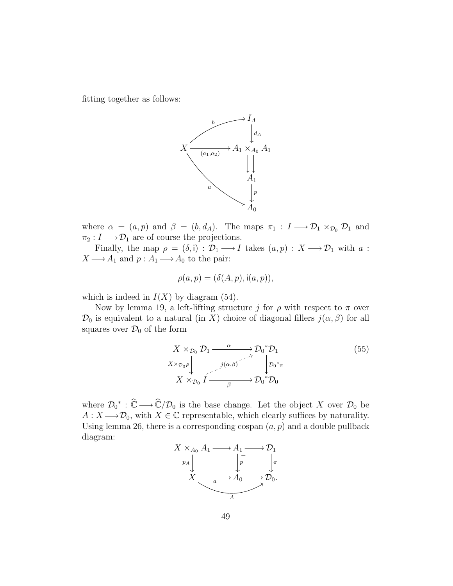fitting together as follows:



where  $\alpha = (a, p)$  and  $\beta = (b, d_A)$ . The maps  $\pi_1 : I \longrightarrow \mathcal{D}_1 \times_{\mathcal{D}_0} \mathcal{D}_1$  and  $\pi_2: I \longrightarrow \mathcal{D}_1$  are of course the projections.

Finally, the map  $\rho = (\delta, i) : \mathcal{D}_1 \longrightarrow I$  takes  $(a, p) : X \longrightarrow \mathcal{D}_1$  with a :  $X \longrightarrow A_1$  and  $p: A_1 \longrightarrow A_0$  to the pair:

$$
\rho(a, p) = (\delta(A, p), i(a, p)),
$$

which is indeed in  $I(X)$  by diagram (54).

Now by lemma 19, a left-lifting structure j for  $\rho$  with respect to  $\pi$  over  $\mathcal{D}_0$  is equivalent to a natural (in X) choice of diagonal fillers  $j(\alpha, \beta)$  for all squares over  $\mathcal{D}_0$  of the form

$$
X \times_{\mathcal{D}_0} \mathcal{D}_1 \xrightarrow{\alpha} \mathcal{D}_0^* \mathcal{D}_1
$$
  
\n
$$
X \times_{\mathcal{D}_0} \rho \downarrow \qquad j(\alpha, \beta)
$$
  
\n
$$
X \times_{\mathcal{D}_0} I \xrightarrow{\beta} \mathcal{D}_0^* \mathcal{D}_0
$$
  
\n
$$
(55)
$$

where  $\mathcal{D}_0^* : \hat{\mathbb{C}} \longrightarrow \hat{\mathbb{C}}/\mathcal{D}_0$  is the base change. Let the object X over  $\mathcal{D}_0$  be  $A: X \longrightarrow \mathcal{D}_0$ , with  $X \in \mathbb{C}$  representable, which clearly suffices by naturality. Using lemma 26, there is a corresponding cospan  $(a, p)$  and a double pullback diagram:

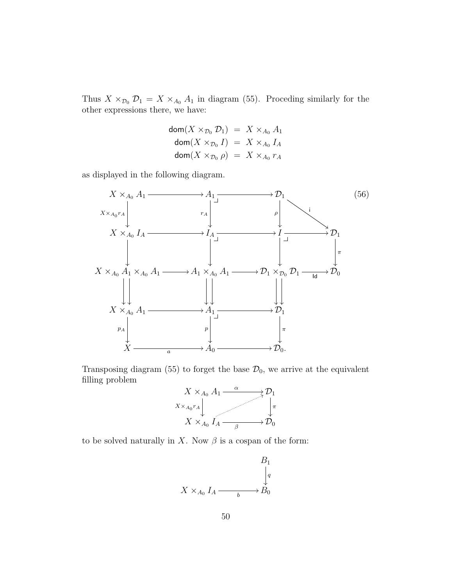Thus  $X \times_{\mathcal{D}_0} \mathcal{D}_1 = X \times_{A_0} A_1$  in diagram (55). Proceding similarly for the other expressions there, we have:

$$
\begin{array}{rcl}\n\mathsf{dom}(X \times_{\mathcal{D}_0} \mathcal{D}_1) & = & X \times_{A_0} A_1 \\
\mathsf{dom}(X \times_{\mathcal{D}_0} I) & = & X \times_{A_0} I_A \\
\mathsf{dom}(X \times_{\mathcal{D}_0} \rho) & = & X \times_{A_0} r_A\n\end{array}
$$

as displayed in the following diagram.



Transposing diagram (55) to forget the base  $\mathcal{D}_0$ , we arrive at the equivalent filling problem



to be solved naturally in X. Now  $\beta$  is a cospan of the form:

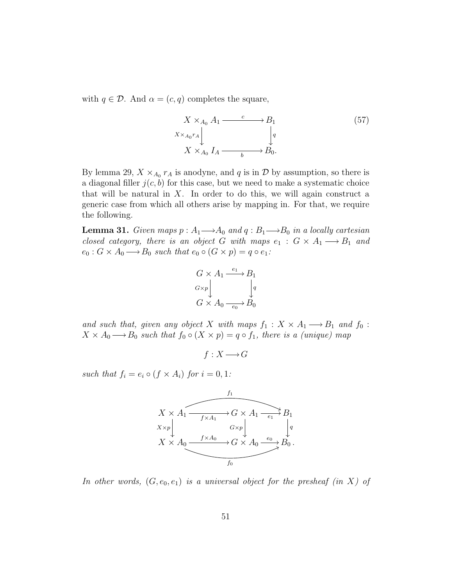with  $q \in \mathcal{D}$ . And  $\alpha = (c, q)$  completes the square,

$$
X \times_{A_0} A_1 \xrightarrow{c} B_1
$$
  
\n
$$
X \times_{A_0} A_1 \downarrow \qquad \qquad \downarrow q
$$
  
\n
$$
X \times_{A_0} I_A \xrightarrow{b} B_0.
$$
  
\n(57)

By lemma 29,  $X \times_{A_0} r_A$  is anodyne, and q is in  $D$  by assumption, so there is a diagonal filler  $j(c, b)$  for this case, but we need to make a systematic choice that will be natural in  $X$ . In order to do this, we will again construct a generic case from which all others arise by mapping in. For that, we require the following.

**Lemma 31.** Given maps  $p : A_1 {\longrightarrow} A_0$  and  $q : B_1 {\longrightarrow} B_0$  in a locally cartesian closed category, there is an object G with maps  $e_1 : G \times A_1 \longrightarrow B_1$  and  $e_0: G \times A_0 \longrightarrow B_0$  such that  $e_0 \circ (G \times p) = q \circ e_1$ :

$$
G \times A_1 \xrightarrow{e_1} B_1
$$
  
\n
$$
G \times p \downarrow \qquad \qquad \downarrow q
$$
  
\n
$$
G \times A_0 \xrightarrow{e_0} B_0
$$

and such that, given any object X with maps  $f_1 : X \times A_1 \longrightarrow B_1$  and  $f_0$ :  $X \times A_0 \longrightarrow B_0$  such that  $f_0 \circ (X \times p) = q \circ f_1$ , there is a (unique) map

 $f : X \longrightarrow G$ 

such that  $f_i = e_i \circ (f \times A_i)$  for  $i = 0, 1$ :



In other words,  $(G, e_0, e_1)$  is a universal object for the presheaf (in X) of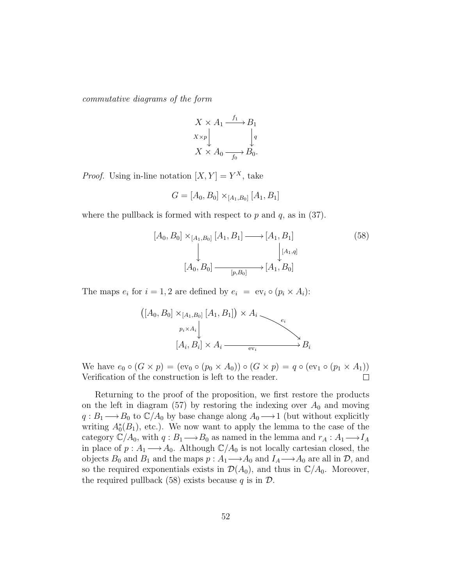commutative diagrams of the form

$$
X \times A_1 \xrightarrow{f_1} B_1
$$
  
\n
$$
X \times p \downarrow \qquad \qquad \downarrow q
$$
  
\n
$$
X \times A_0 \xrightarrow{f_0} B_0.
$$

*Proof.* Using in-line notation  $[X, Y] = Y^X$ , take

$$
G = [A_0, B_0] \times_{[A_1, B_0]} [A_1, B_1]
$$

where the pullback is formed with respect to  $p$  and  $q$ , as in (37).

$$
[A_0, B_0] \times_{[A_1, B_0]} [A_1, B_1] \longrightarrow [A_1, B_1]
$$
\n
$$
\downarrow \qquad \qquad [\mathcal{A}_0, B_0] \longrightarrow_{[p, B_0]} [A_1, B_0]
$$
\n
$$
(58)
$$

The maps  $e_i$  for  $i = 1, 2$  are defined by  $e_i = ev_i \circ (p_i \times A_i)$ :

$$
([A_0, B_0] \times_{[A_1, B_0]} [A_1, B_1]) \times A_i \longrightarrow e_i
$$
  
\n
$$
p_i \times A_i \downarrow \qquad \qquad e_i
$$
  
\n
$$
[A_i, B_i] \times A_i \longrightarrow e_i
$$

We have  $e_0 \circ (G \times p) = (\text{ev}_0 \circ (p_0 \times A_0)) \circ (G \times p) = q \circ (\text{ev}_1 \circ (p_1 \times A_1))$ Verification of the construction is left to the reader.  $\Box$ 

Returning to the proof of the proposition, we first restore the products on the left in diagram (57) by restoring the indexing over  $A_0$  and moving  $q: B_1 \longrightarrow B_0$  to  $\mathbb{C}/A_0$  by base change along  $A_0 \longrightarrow 1$  (but without explicitly writing  $A_0^*(B_1)$ , etc.). We now want to apply the lemma to the case of the category  $\ddot{C}/A_0$ , with  $q: B_1 \longrightarrow B_0$  as named in the lemma and  $r_A: A_1 \longrightarrow I_A$ in place of  $p: A_1 \longrightarrow A_0$ . Although  $\mathbb{C}/A_0$  is not locally cartesian closed, the objects  $B_0$  and  $B_1$  and the maps  $p: A_1 \longrightarrow A_0$  and  $I_A \longrightarrow A_0$  are all in  $\mathcal{D}$ , and so the required exponentials exists in  $\mathcal{D}(A_0)$ , and thus in  $\mathbb{C}/A_0$ . Moreover, the required pullback (58) exists because q is in  $\mathcal{D}$ .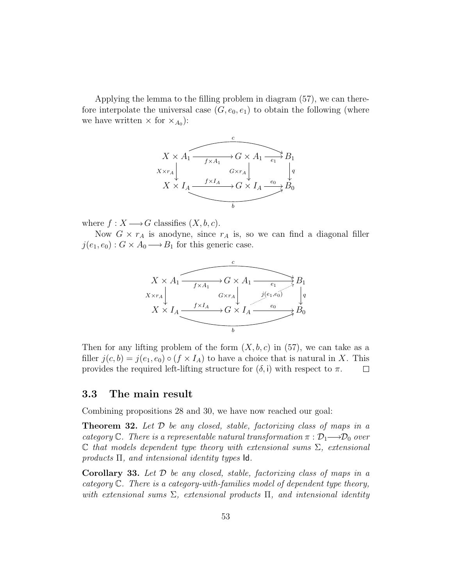Applying the lemma to the filling problem in diagram (57), we can therefore interpolate the universal case  $(G, e_0, e_1)$  to obtain the following (where we have written  $\times$  for  $\times_{A_0}$ :



where  $f: X \longrightarrow G$  classifies  $(X, b, c)$ .

Now  $G \times r_A$  is anodyne, since  $r_A$  is, so we can find a diagonal filler  $j(e_1, e_0)$ :  $G \times A_0 \longrightarrow B_1$  for this generic case.



Then for any lifting problem of the form  $(X, b, c)$  in (57), we can take as a filler  $j(c, b) = j(e_1, e_0) \circ (f \times I_A)$  to have a choice that is natural in X. This provides the required left-lifting structure for  $(\delta, i)$  with respect to  $\pi$ .  $\Box$ 

#### 3.3 The main result

Combining propositions 28 and 30, we have now reached our goal:

**Theorem 32.** Let  $D$  be any closed, stable, factorizing class of maps in a category C. There is a representable natural transformation  $\pi : \mathcal{D}_1 \longrightarrow \mathcal{D}_0$  over  $\mathbb C$  that models dependent type theory with extensional sums  $\Sigma$ , extensional products  $\Pi$ , and intensional identity types  $\mathsf{Id}$ .

**Corollary 33.** Let  $D$  be any closed, stable, factorizing class of maps in a category C. There is a category-with-families model of dependent type theory, with extensional sums  $\Sigma$ , extensional products  $\Pi$ , and intensional identity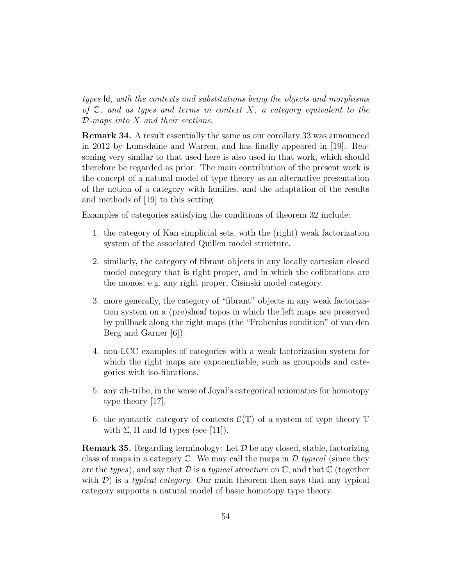types Id, with the contexts and substitutions being the objects and morphisms of  $\mathbb C$ , and as types and terms in context X, a category equivalent to the D-maps into X and their sections.

Remark 34. A result essentially the same as our corollary 33 was announced in 2012 by Lumsdaine and Warren, and has finally appeared in [19]. Reasoning very similar to that used here is also used in that work, which should therefore be regarded as prior. The main contribution of the present work is the concept of a natural model of type theory as an alternative presentation of the notion of a category with families, and the adaptation of the results and methods of [19] to this setting.

Examples of categories satisfying the conditions of theorem 32 include:

- 1. the category of Kan simplicial sets, with the (right) weak factorization system of the associated Quillen model structure.
- 2. similarly, the category of fibrant objects in any locally cartesian closed model category that is right proper, and in which the cofibrations are the monos; e.g. any right proper, Cisinski model category.
- 3. more generally, the category of "fibrant" objects in any weak factorization system on a (pre)sheaf topos in which the left maps are preserved by pullback along the right maps (the "Frobenius condition" of van den Berg and Garner [6]).
- 4. non-LCC examples of categories with a weak factorization system for which the right maps are exponentiable, such as groupoids and categories with iso-fibrations.
- 5. any  $\pi$ h-tribe, in the sense of Joyal's categorical axiomatics for homotopy type theory [17].
- 6. the syntactic category of contexts  $\mathcal{C}(\mathbb{T})$  of a system of type theory  $\mathbb{T}$ with  $\Sigma$ ,  $\Pi$  and  $\Pi$  types (see [11]).

**Remark 35.** Regarding terminology: Let  $\mathcal{D}$  be any closed, stable, factorizing class of maps in a category  $\mathbb C$ . We may call the maps in  $\mathcal D$  typical (since they are the types), and say that  $\mathcal D$  is a typical structure on  $\mathbb C$ , and that  $\mathbb C$  (together with  $\mathcal{D}$ ) is a *typical category*. Our main theorem then says that any typical category supports a natural model of basic homotopy type theory.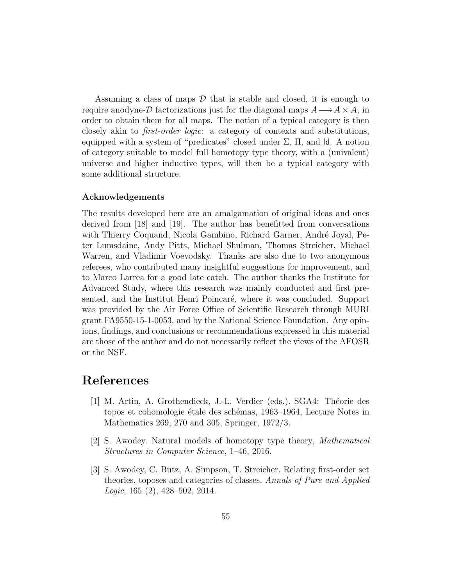Assuming a class of maps  $\mathcal D$  that is stable and closed, it is enough to require anodyne- $\mathcal D$  factorizations just for the diagonal maps  $A \longrightarrow A \times A$ , in order to obtain them for all maps. The notion of a typical category is then closely akin to first-order logic: a category of contexts and substitutions, equipped with a system of "predicates" closed under  $\Sigma$ ,  $\Pi$ , and  $\mathsf{Id}$ . A notion of category suitable to model full homotopy type theory, with a (univalent) universe and higher inductive types, will then be a typical category with some additional structure.

#### Acknowledgements

The results developed here are an amalgamation of original ideas and ones derived from [18] and [19]. The author has benefitted from conversations with Thierry Coquand, Nicola Gambino, Richard Garner, André Joyal, Peter Lumsdaine, Andy Pitts, Michael Shulman, Thomas Streicher, Michael Warren, and Vladimir Voevodsky. Thanks are also due to two anonymous referees, who contributed many insightful suggestions for improvement, and to Marco Larrea for a good late catch. The author thanks the Institute for Advanced Study, where this research was mainly conducted and first presented, and the Institut Henri Poincaré, where it was concluded. Support was provided by the Air Force Office of Scientific Research through MURI grant FA9550-15-1-0053, and by the National Science Foundation. Any opinions, findings, and conclusions or recommendations expressed in this material are those of the author and do not necessarily reflect the views of the AFOSR or the NSF.

## References

- [1] M. Artin, A. Grothendieck, J.-L. Verdier (eds.). SGA4: Théorie des topos et cohomologie étale des schémas, 1963–1964, Lecture Notes in Mathematics 269, 270 and 305, Springer, 1972/3.
- [2] S. Awodey. Natural models of homotopy type theory, Mathematical Structures in Computer Science, 1–46, 2016.
- [3] S. Awodey, C. Butz, A. Simpson, T. Streicher. Relating first-order set theories, toposes and categories of classes. Annals of Pure and Applied Logic, 165 (2), 428–502, 2014.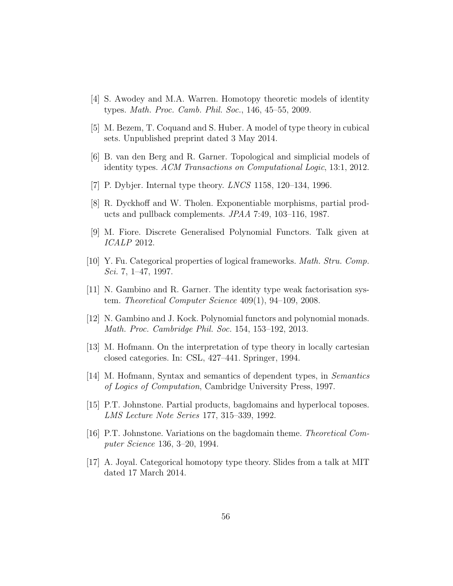- [4] S. Awodey and M.A. Warren. Homotopy theoretic models of identity types. Math. Proc. Camb. Phil. Soc., 146, 45–55, 2009.
- [5] M. Bezem, T. Coquand and S. Huber. A model of type theory in cubical sets. Unpublished preprint dated 3 May 2014.
- [6] B. van den Berg and R. Garner. Topological and simplicial models of identity types. ACM Transactions on Computational Logic, 13:1, 2012.
- [7] P. Dybjer. Internal type theory. *LNCS* 1158, 120–134, 1996.
- [8] R. Dyckhoff and W. Tholen. Exponentiable morphisms, partial products and pullback complements. JPAA 7:49, 103–116, 1987.
- [9] M. Fiore. Discrete Generalised Polynomial Functors. Talk given at ICALP 2012.
- [10] Y. Fu. Categorical properties of logical frameworks. Math. Stru. Comp. Sci. 7, 1–47, 1997.
- [11] N. Gambino and R. Garner. The identity type weak factorisation system. Theoretical Computer Science 409(1), 94–109, 2008.
- [12] N. Gambino and J. Kock. Polynomial functors and polynomial monads. Math. Proc. Cambridge Phil. Soc. 154, 153–192, 2013.
- [13] M. Hofmann. On the interpretation of type theory in locally cartesian closed categories. In: CSL, 427–441. Springer, 1994.
- [14] M. Hofmann, Syntax and semantics of dependent types, in Semantics of Logics of Computation, Cambridge University Press, 1997.
- [15] P.T. Johnstone. Partial products, bagdomains and hyperlocal toposes. LMS Lecture Note Series 177, 315–339, 1992.
- [16] P.T. Johnstone. Variations on the bagdomain theme. Theoretical Computer Science 136, 3–20, 1994.
- [17] A. Joyal. Categorical homotopy type theory. Slides from a talk at MIT dated 17 March 2014.